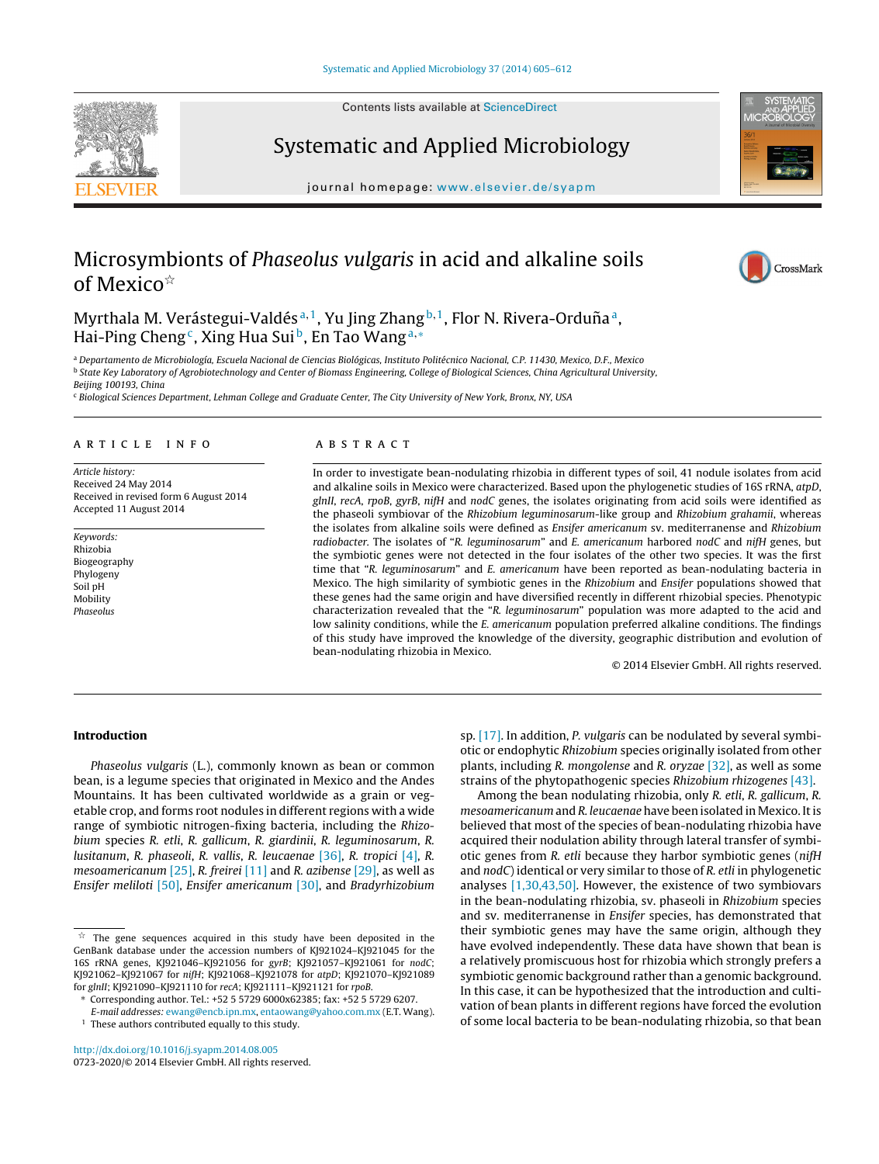

Contents lists available at [ScienceDirect](http://www.sciencedirect.com/science/journal/07232020)

# Systematic and Applied Microbiology



# Microsymbionts of Phaseolus vulgaris in acid and alkaline soils of Mexico $\mathbb A$

Myrthala M. Verástegui-Valdés  $a,1$ , Yu Jing Zhang  $b,1$ , Flor N. Rivera-Orduña<sup>a</sup>, Hai-Ping Cheng<sup>c</sup>, Xing Hua Sui<sup>b</sup>, En Tao Wang<sup>a,∗</sup>

<sup>a</sup> Departamento de Microbiología, Escuela Nacional de Ciencias Biológicas, Instituto Politécnico Nacional, C.P. 11430, Mexico, D.F., Mexico <sup>b</sup> State Key Laboratory of Agrobiotechnology and Center of Biomass Engineering, College of Biological Sciences, China Agricultural University, Beijing 100193, China

<sup>c</sup> Biological Sciences Department, Lehman College and Graduate Center, The City University of New York, Bronx, NY, USA

### ARTICLE INFO

Article history: Received 24 May 2014 Received in revised form 6 August 2014 Accepted 11 August 2014

Keywords: Rhizobia Biogeography Phylogeny Soil pH Mobility Phaseolus

# A B S T R A C T

In order to investigate bean-nodulating rhizobia in different types of soil, 41 nodule isolates from acid and alkaline soils in Mexico were characterized. Based upon the phylogenetic studies of 16S rRNA, atpD, glnII, recA, rpoB, gyrB, nifH and nodC genes, the isolates originating from acid soils were identified as the phaseoli symbiovar of the Rhizobium leguminosarum-like group and Rhizobium grahamii, whereas the isolates from alkaline soils were defined as Ensifer americanum sv. mediterranense and Rhizobium radiobacter. The isolates of "R. leguminosarum" and E. americanum harbored nodC and nifH genes, but the symbiotic genes were not detected in the four isolates of the other two species. It was the first time that "R. leguminosarum" and E. americanum have been reported as bean-nodulating bacteria in Mexico. The high similarity of symbiotic genes in the Rhizobium and Ensifer populations showed that these genes had the same origin and have diversified recently in different rhizobial species. Phenotypic characterization revealed that the "R. leguminosarum" population was more adapted to the acid and low salinity conditions, while the E. americanum population preferred alkaline conditions. The findings of this study have improved the knowledge of the diversity, geographic distribution and evolution of bean-nodulating rhizobia in Mexico.

© 2014 Elsevier GmbH. All rights reserved.

# **Introduction**

Phaseolus vulgaris (L.), commonly known as bean or common bean, is a legume species that originated in Mexico and the Andes Mountains. It has been cultivated worldwide as a grain or vegetable crop, and forms root nodules in different regions with a wide range of symbiotic nitrogen-fixing bacteria, including the Rhizobium species R. etli, R. gallicum, R. giardinii, R. leguminosarum, R. lusitanum, R. phaseoli, R. vallis, R. leucaenae [\[36\],](#page-7-0) R. tropici [\[4\],](#page-6-0) R. mesoamericanum [\[25\],](#page-7-0) R. freirei [\[11\]](#page-6-0) and R. azibense [\[29\],](#page-7-0) as well as Ensifer meliloti [\[50\],](#page-7-0) Ensifer americanum [\[30\],](#page-7-0) and Bradyrhizobium

E-mail addresses: [ewang@encb.ipn.mx,](mailto:ewang@encb.ipn.mx) [entaowang@yahoo.com.mx](mailto:entaowang@yahoo.com.mx) (E.T. Wang).  $1$  These authors contributed equally to this study.

[http://dx.doi.org/10.1016/j.syapm.2014.08.005](dx.doi.org/10.1016/j.syapm.2014.08.005) 0723-2020/© 2014 Elsevier GmbH. All rights reserved. sp. [\[17\].](#page-7-0) In addition, P. vulgaris can be nodulated by several symbiotic or endophytic Rhizobium species originally isolated from other plants, including R. mongolense and R. oryzae [\[32\],](#page-7-0) as well as some strains of the phytopathogenic species Rhizobium rhizogenes [\[43\].](#page-7-0)

Among the bean nodulating rhizobia, only R. etli, R. gallicum, R. mesoamericanum and R. leucaenae have been isolated in Mexico. It is believed that most of the species of bean-nodulating rhizobia have acquired their nodulation ability through lateral transfer of symbiotic genes from R. etli because they harbor symbiotic genes (nifH and nodC) identical or very similar to those of R. etli in phylogenetic analyses [\[1,30,43,50\].](#page-6-0) However, the existence of two symbiovars in the bean-nodulating rhizobia, sv. phaseoli in Rhizobium species and sv. mediterranense in Ensifer species, has demonstrated that their symbiotic genes may have the same origin, although they have evolved independently. These data have shown that bean is a relatively promiscuous host for rhizobia which strongly prefers a symbiotic genomic background rather than a genomic background. In this case, it can be hypothesized that the introduction and cultivation of bean plants in different regions have forced the evolution of some local bacteria to be bean-nodulating rhizobia, so that bean





 $\frac{1}{24}$  The gene sequences acquired in this study have been deposited in the GenBank database under the accession numbers of KJ921024–KJ921045 for the 16S rRNA genes, KJ921046–KJ921056 for gyrB; KJ921057–KJ921061 for nodC; KJ921062–KJ921067 for nifH; KJ921068–KJ921078 for atpD; KJ921070–KJ921089 for glnII; KJ921090–KJ921110 for recA; KJ921111–KJ921121 for rpoB.

<sup>∗</sup> Corresponding author. Tel.: +52 5 5729 6000x62385; fax: +52 5 5729 6207.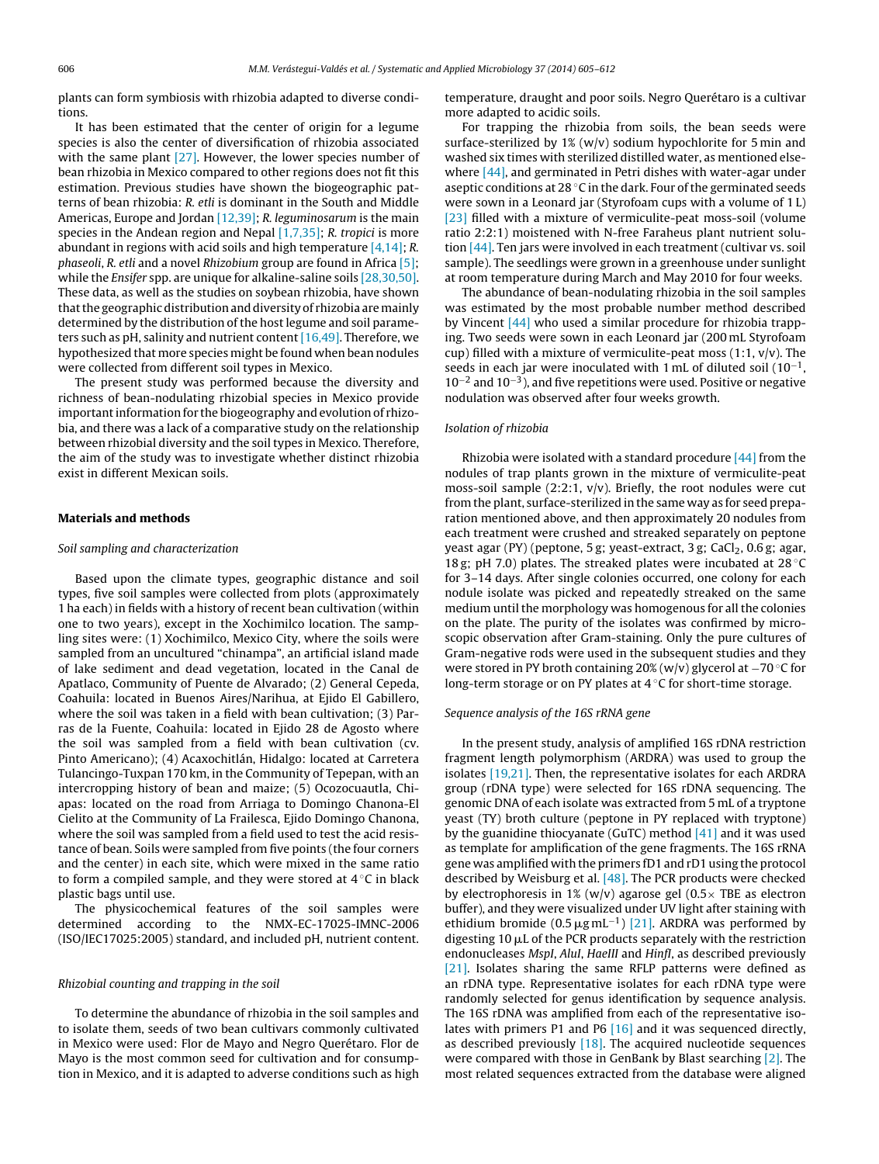plants can form symbiosis with rhizobia adapted to diverse conditions.

It has been estimated that the center of origin for a legume species is also the center of diversification of rhizobia associated with the same plant [\[27\].](#page-7-0) However, the lower species number of bean rhizobia in Mexico compared to other regions does not fit this estimation. Previous studies have shown the biogeographic patterns of bean rhizobia: R. etli is dominant in the South and Middle Americas, Europe and Jordan  $[12,39]$ ; R. leguminosarum is the main species in the Andean region and Nepal [\[1,7,35\];](#page-6-0) R. tropici is more abundant in regions with acid soils and high temperature  $[4,14]$ ; R. phaseoli, R. etli and a novel Rhizobium group are found in Africa [\[5\];](#page-6-0) while the Ensifer spp. are unique for alkaline-saline soils [\[28,30,50\].](#page-7-0) These data, as well as the studies on soybean rhizobia, have shown that the geographic distribution and diversity of rhizobia are mainly determined by the distribution of the host legume and soil parameters such as pH, salinity and nutrient content [\[16,49\].](#page-6-0) Therefore, we hypothesized that more species might be found when bean nodules were collected from different soil types in Mexico.

The present study was performed because the diversity and richness of bean-nodulating rhizobial species in Mexico provide important information for the biogeography and evolution of rhizobia, and there was a lack of a comparative study on the relationship between rhizobial diversity and the soil types in Mexico. Therefore, the aim of the study was to investigate whether distinct rhizobia exist in different Mexican soils.

### **Materials and methods**

#### Soil sampling and characterization

Based upon the climate types, geographic distance and soil types, five soil samples were collected from plots (approximately 1 ha each) in fields with a history of recent bean cultivation (within one to two years), except in the Xochimilco location. The sampling sites were: (1) Xochimilco, Mexico City, where the soils were sampled from an uncultured "chinampa", an artificial island made of lake sediment and dead vegetation, located in the Canal de Apatlaco, Community of Puente de Alvarado; (2) General Cepeda, Coahuila: located in Buenos Aires/Narihua, at Ejido El Gabillero, where the soil was taken in a field with bean cultivation; (3) Parras de la Fuente, Coahuila: located in Ejido 28 de Agosto where the soil was sampled from a field with bean cultivation (cv. Pinto Americano); (4) Acaxochitlán, Hidalgo: located at Carretera Tulancingo-Tuxpan 170 km, in the Community of Tepepan, with an intercropping history of bean and maize; (5) Ocozocuautla, Chiapas: located on the road from Arriaga to Domingo Chanona-El Cielito at the Community of La Frailesca, Ejido Domingo Chanona, where the soil was sampled from a field used to test the acid resistance of bean. Soils were sampled from five points (the four corners and the center) in each site, which were mixed in the same ratio to form a compiled sample, and they were stored at  $4^\circ$ C in black plastic bags until use.

The physicochemical features of the soil samples were determined according to the NMX-EC-17025-IMNC-2006 (ISO/IEC17025:2005) standard, and included pH, nutrient content.

# Rhizobial counting and trapping in the soil

To determine the abundance of rhizobia in the soil samples and to isolate them, seeds of two bean cultivars commonly cultivated in Mexico were used: Flor de Mayo and Negro Querétaro. Flor de Mayo is the most common seed for cultivation and for consumption in Mexico, and it is adapted to adverse conditions such as high temperature, draught and poor soils. Negro Querétaro is a cultivar more adapted to acidic soils.

For trapping the rhizobia from soils, the bean seeds were surface-sterilized by  $1\%$  (w/v) sodium hypochlorite for 5 min and washed six times with sterilized distilled water, as mentioned elsewhere  $[44]$ , and germinated in Petri dishes with water-agar under aseptic conditions at 28  $\degree$ C in the dark. Four of the germinated seeds were sown in a Leonard jar (Styrofoam cups with a volume of 1 L) [\[23\]](#page-7-0) filled with a mixture of vermiculite-peat moss-soil (volume ratio 2:2:1) moistened with N-free Faraheus plant nutrient solution [\[44\].](#page-7-0) Ten jars were involved in each treatment (cultivar vs. soil sample). The seedlings were grown in a greenhouse under sunlight at room temperature during March and May 2010 for four weeks.

The abundance of bean-nodulating rhizobia in the soil samples was estimated by the most probable number method described by Vincent [\[44\]](#page-7-0) who used a similar procedure for rhizobia trapping. Two seeds were sown in each Leonard jar (200 mL Styrofoam cup) filled with a mixture of vermiculite-peat moss  $(1:1, v/v)$ . The seeds in each jar were inoculated with 1 mL of diluted soil  $(10^{-1},$  $10^{-2}$  and  $10^{-3}$ ), and five repetitions were used. Positive or negative nodulation was observed after four weeks growth.

#### Isolation of rhizobia

Rhizobia were isolated with a standard procedure  $[44]$  from the nodules of trap plants grown in the mixture of vermiculite-peat moss-soil sample (2:2:1,  $v/v$ ). Briefly, the root nodules were cut from the plant, surface-sterilized in the same way as for seed preparation mentioned above, and then approximately 20 nodules from each treatment were crushed and streaked separately on peptone yeast agar (PY) (peptone, 5 g; yeast-extract, 3 g; CaCl<sub>2</sub>, 0.6 g; agar, 18 g; pH 7.0) plates. The streaked plates were incubated at  $28 °C$ for 3–14 days. After single colonies occurred, one colony for each nodule isolate was picked and repeatedly streaked on the same medium until the morphology was homogenous for all the colonies on the plate. The purity of the isolates was confirmed by microscopic observation after Gram-staining. Only the pure cultures of Gram-negative rods were used in the subsequent studies and they were stored in PY broth containing 20% (w/v) glycerol at −70 °C for long-term storage or on PY plates at 4 ◦C for short-time storage.

### Sequence analysis of the 16S rRNA gene

In the present study, analysis of amplified 16S rDNA restriction fragment length polymorphism (ARDRA) was used to group the isolates [\[19,21\].](#page-7-0) Then, the representative isolates for each ARDRA group (rDNA type) were selected for 16S rDNA sequencing. The genomic DNA of each isolate was extracted from 5 mL of a tryptone yeast (TY) broth culture (peptone in PY replaced with tryptone) by the guanidine thiocyanate (GuTC) method  $[41]$  and it was used as template for amplification of the gene fragments. The 16S rRNA gene was amplified with the primers fD1 and rD1 using the protocol described by Weisburg et al. [\[48\].](#page-7-0) The PCR products were checked by electrophoresis in 1% (w/v) agarose gel (0.5 $\times$  TBE as electron buffer), and they were visualized under UV light after staining with ethidium bromide (0.5  $\mu$ g mL<sup>-1</sup>) [\[21\].](#page-7-0) ARDRA was performed by digesting 10  $\mu$ L of the PCR products separately with the restriction endonucleases MspI, AluI, HaeIII and HinfI, as described previously [\[21\].](#page-7-0) Isolates sharing the same RFLP patterns were defined as an rDNA type. Representative isolates for each rDNA type were randomly selected for genus identification by sequence analysis. The 16S rDNA was amplified from each of the representative isolates with primers P1 and P6  $[16]$  and it was sequenced directly, as described previously  $[18]$ . The acquired nucleotide sequences were compared with those in GenBank by Blast searching [\[2\].](#page-6-0) The most related sequences extracted from the database were aligned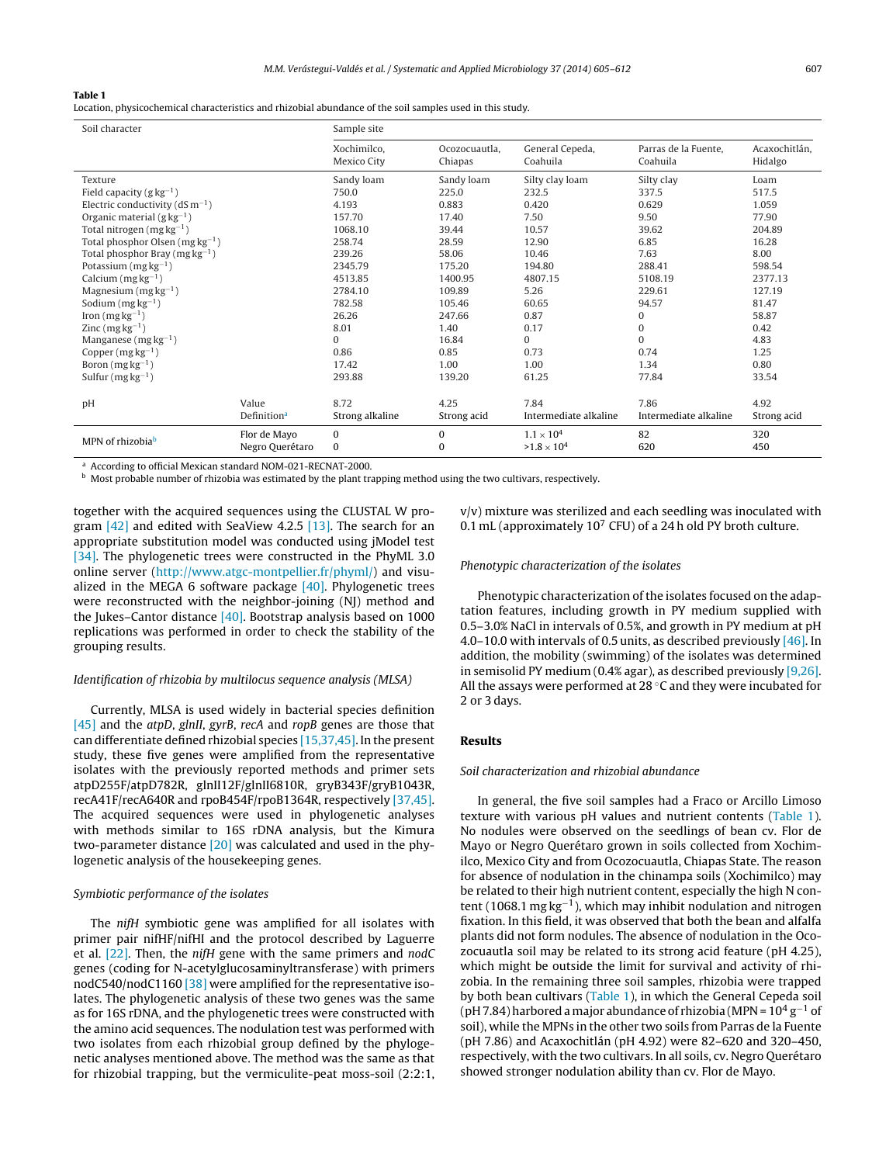<span id="page-2-0"></span>**Table 1**

Location, physicochemical characteristics and rhizobial abundance of the soil samples used in this study.

| Soil character                           |                         | Sample site                |                          |                             |                                  |                          |  |  |  |  |
|------------------------------------------|-------------------------|----------------------------|--------------------------|-----------------------------|----------------------------------|--------------------------|--|--|--|--|
|                                          |                         | Xochimilco,<br>Mexico City | Ocozocuautla.<br>Chiapas | General Cepeda,<br>Coahuila | Parras de la Fuente.<br>Coahuila | Acaxochitlán.<br>Hidalgo |  |  |  |  |
| Texture                                  |                         | Sandy loam                 | Sandy loam               | Silty clay loam             | Silty clay                       | Loam                     |  |  |  |  |
| Field capacity ( $g \, kg^{-1}$ )        |                         | 750.0                      | 225.0                    | 232.5                       | 337.5                            | 517.5                    |  |  |  |  |
| Electric conductivity ( $dS \, m^{-1}$ ) |                         | 4.193                      | 0.883                    | 0.420                       | 0.629                            | 1.059                    |  |  |  |  |
| Organic material ( $g \text{ kg}^{-1}$ ) |                         | 157.70                     | 17.40                    | 7.50                        | 9.50                             | 77.90                    |  |  |  |  |
| Total nitrogen (mg $kg^{-1}$ )           |                         | 1068.10                    | 39.44                    | 10.57                       | 39.62                            | 204.89                   |  |  |  |  |
| Total phosphor Olsen ( $mg\,kg^{-1}$ )   |                         | 258.74                     | 28.59                    | 12.90                       | 6.85                             | 16.28                    |  |  |  |  |
| Total phosphor Bray ( $mg \, kg^{-1}$ )  |                         | 239.26                     | 58.06                    | 10.46                       | 7.63                             | 8.00                     |  |  |  |  |
| Potassium $(mgkg^{-1})$                  |                         | 2345.79                    | 175.20                   | 194.80                      | 288.41                           | 598.54                   |  |  |  |  |
| Calcium $(mgkg^{-1})$                    |                         | 4513.85                    | 1400.95                  | 4807.15                     | 5108.19                          | 2377.13                  |  |  |  |  |
| Magnesium ( $mg \, kg^{-1}$ )            |                         | 2784.10                    | 109.89                   | 5.26                        | 229.61                           | 127.19                   |  |  |  |  |
| Sodium $(mgkg^{-1})$                     |                         | 782.58                     | 105.46                   | 60.65                       | 94.57                            | 81.47                    |  |  |  |  |
| Iron $(mgkg^{-1})$                       |                         | 26.26                      | 247.66                   | 0.87                        | 0                                | 58.87                    |  |  |  |  |
| Zinc $(mgkg^{-1})$                       |                         | 8.01                       | 1.40                     | 0.17                        | $\mathbf{0}$                     | 0.42                     |  |  |  |  |
| Manganese (mg $kg^{-1}$ )                |                         | 0                          | 16.84                    | $\mathbf{0}$                | $\mathbf{0}$                     | 4.83                     |  |  |  |  |
| Copper $(mgkg^{-1})$                     |                         | 0.86                       | 0.85                     | 0.73                        | 0.74                             | 1.25                     |  |  |  |  |
| Boron $(mgkg^{-1})$                      |                         | 17.42                      | 1.00                     | 1.00                        | 1.34                             | 0.80                     |  |  |  |  |
| Sulfur $(mg kg^{-1})$                    |                         | 293.88                     | 139.20                   | 61.25                       | 77.84                            | 33.54                    |  |  |  |  |
|                                          |                         |                            |                          |                             |                                  |                          |  |  |  |  |
| pH                                       | Value                   | 8.72                       | 4.25                     | 7.84                        | 7.86                             | 4.92                     |  |  |  |  |
|                                          | Definition <sup>a</sup> | Strong alkaline            | Strong acid              | Intermediate alkaline       | Intermediate alkaline            | Strong acid              |  |  |  |  |
|                                          | Flor de Mayo            | $\bf{0}$                   | $\bf{0}$                 | $1.1 \times 10^{4}$         | 82                               | 320                      |  |  |  |  |
| MPN of rhizobia <sup>b</sup>             | Negro Querétaro         | $\bf{0}$                   | $\bf{0}$                 | $>1.8\times10^{4}$          | 620                              | 450                      |  |  |  |  |
|                                          |                         |                            |                          |                             |                                  |                          |  |  |  |  |

<sup>a</sup> According to official Mexican standard NOM-021-RECNAT-2000.

 $b$  Most probable number of rhizobia was estimated by the plant trapping method using the two cultivars, respectively.

together with the acquired sequences using the CLUSTAL W program  $[42]$  and edited with SeaView 4.2.5  $[13]$ . The search for an appropriate substitution model was conducted using jModel test [\[34\].](#page-7-0) The phylogenetic trees were constructed in the PhyML 3.0 online server [\(http://www.atgc-montpellier.fr/phyml/](http://www.atgc-montpellier.fr/phyml/)) and visu-alized in the MEGA 6 software package [\[40\].](#page-7-0) Phylogenetic trees were reconstructed with the neighbor-joining (NJ) method and the Jukes–Cantor distance [\[40\].](#page-7-0) Bootstrap analysis based on 1000 replications was performed in order to check the stability of the grouping results.

# Identification of rhizobia by multilocus sequence analysis (MLSA)

Currently, MLSA is used widely in bacterial species definition [\[45\]](#page-7-0) and the *atpD*, glnII, gyrB, recA and ropB genes are those that can differentiate defined rhizobial species [\[15,37,45\].](#page-6-0) In the present study, these five genes were amplified from the representative isolates with the previously reported methods and primer sets atpD255F/atpD782R, glnII12F/glnII6810R, gryB343F/gryB1043R, recA41F/recA640R and rpoB454F/rpoB1364R, respectively [\[37,45\].](#page-7-0) The acquired sequences were used in phylogenetic analyses with methods similar to 16S rDNA analysis, but the Kimura two-parameter distance [\[20\]](#page-7-0) was calculated and used in the phylogenetic analysis of the housekeeping genes.

# Symbiotic performance of the isolates

The nifH symbiotic gene was amplified for all isolates with primer pair nifHF/nifHI and the protocol described by Laguerre et al.  $[22]$ . Then, the *nifH* gene with the same primers and *nodC* genes (coding for N-acetylglucosaminyltransferase) with primers nodC540/nodC1160 [\[38\]](#page-7-0) were amplified for the representative isolates. The phylogenetic analysis of these two genes was the same as for 16S rDNA, and the phylogenetic trees were constructed with the amino acid sequences. The nodulation test was performed with two isolates from each rhizobial group defined by the phylogenetic analyses mentioned above. The method was the same as that for rhizobial trapping, but the vermiculite-peat moss-soil (2:2:1,  $v/v$ ) mixture was sterilized and each seedling was inoculated with 0.1 mL (approximately  $10^7$  CFU) of a 24 h old PY broth culture.

#### Phenotypic characterization of the isolates

Phenotypic characterization of the isolates focused on the adaptation features, including growth in PY medium supplied with 0.5–3.0% NaCl in intervals of 0.5%, and growth in PY medium at pH 4.0–10.0 with intervals of 0.5 units, as described previously  $[46]$ . In addition, the mobility (swimming) of the isolates was determined in semisolid PY medium (0.4% agar), as described previously [\[9,26\].](#page-6-0) All the assays were performed at 28 ◦C and they were incubated for 2 or 3 days.

# **Results**

### Soil characterization and rhizobial abundance

In general, the five soil samples had a Fraco or Arcillo Limoso texture with various pH values and nutrient contents (Table 1). No nodules were observed on the seedlings of bean cv. Flor de Mayo or Negro Querétaro grown in soils collected from Xochimilco, Mexico City and from Ocozocuautla, Chiapas State. The reason for absence of nodulation in the chinampa soils (Xochimilco) may be related to their high nutrient content, especially the high N content (1068.1 mg kg<sup>-1</sup>), which may inhibit nodulation and nitrogen fixation. In this field, it was observed that both the bean and alfalfa plants did not form nodules. The absence of nodulation in the Ocozocuautla soil may be related to its strong acid feature (pH 4.25), which might be outside the limit for survival and activity of rhizobia. In the remaining three soil samples, rhizobia were trapped by both bean cultivars (Table 1), in which the General Cepeda soil (pH 7.84) harbored a major abundance of rhizobia (MPN =  $10^4$  g<sup>-1</sup> of soil), while the MPNs in the other two soils from Parras de la Fuente (pH 7.86) and Acaxochitlán (pH 4.92) were 82–620 and 320–450, respectively, with the two cultivars. In all soils, cv. Negro Querétaro showed stronger nodulation ability than cv. Flor de Mayo.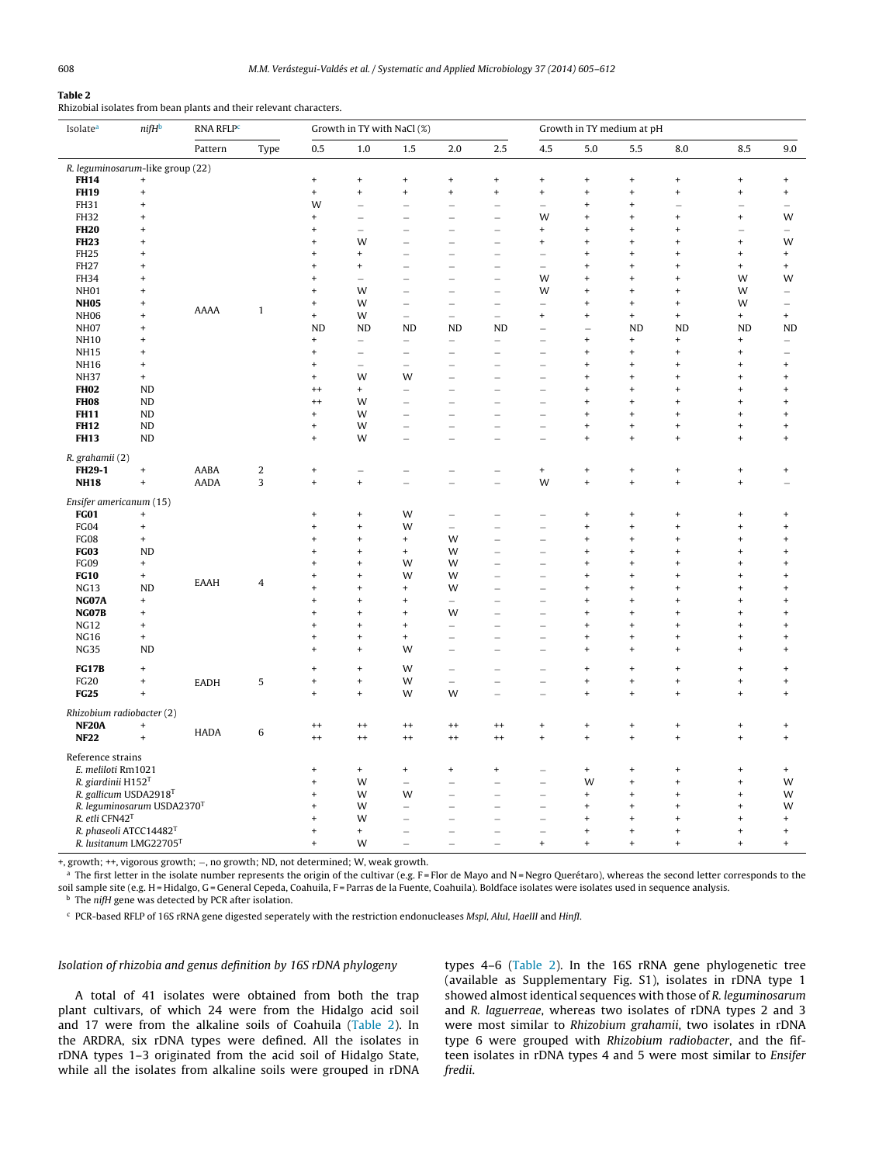# <span id="page-3-0"></span>**Table 2**

Rhizobial isolates from bean plants and their relevant characters.

| Isolate <sup>a</sup>             | nifH <sup>b</sup>                             | <b>RNA RFLP</b> <sup>c</sup> |                         | Growth in TY with NaCl (%)       |                                  |                                  |                          | Growth in TY medium at pH        |                                  |                                  |                                  |                                  |                                  |                                  |
|----------------------------------|-----------------------------------------------|------------------------------|-------------------------|----------------------------------|----------------------------------|----------------------------------|--------------------------|----------------------------------|----------------------------------|----------------------------------|----------------------------------|----------------------------------|----------------------------------|----------------------------------|
|                                  |                                               | Pattern                      | Type                    | 0.5                              | 1.0                              | 1.5                              | 2.0                      | 2.5                              | 4.5                              | 5.0                              | 5.5                              | 8.0                              | 8.5                              | 9.0                              |
| R. leguminosarum-like group (22) |                                               |                              |                         |                                  |                                  |                                  |                          |                                  |                                  |                                  |                                  |                                  |                                  |                                  |
| <b>FH14</b>                      | $\ddot{}$                                     |                              |                         | $\ddot{}$                        | $\ddot{}$                        | $\ddot{}$                        | $\ddot{}$                | $\begin{array}{c} + \end{array}$ | $\ddot{}$                        | $\ddot{}$                        | $\ddot{}$                        | $\ddot{}$                        |                                  | $\ddot{}$                        |
| <b>FH19</b>                      | $\ddot{}$                                     |                              |                         | $\ddot{}$                        | $\ddot{}$                        | $\ddot{}$                        | $\ddot{}$                | $\ddot{}$                        | $\ddot{}$                        | $\ddot{}$                        | $\ddot{}$                        | $\ddot{}$                        | $\ddot{}$                        | $\bf{+}$                         |
| <b>FH31</b>                      | $\ddot{}$                                     |                              |                         | W                                |                                  |                                  |                          | L,                               |                                  | $\ddot{}$                        | $\ddot{}$                        |                                  |                                  | L,                               |
| <b>FH32</b>                      | $\ddot{}$                                     |                              |                         | $\ddot{}$                        | ÷,                               |                                  | ÷                        | $\overline{\phantom{0}}$         | W                                | $\ddot{}$                        | $\ddot{}$                        | $\ddot{}$                        | $\ddot{}$                        | W                                |
| <b>FH20</b>                      |                                               |                              |                         | $\ddot{}$                        | L,                               | ÷,                               | $\overline{\phantom{0}}$ | $\overline{\phantom{0}}$         | $\ddot{}$                        | $\ddot{}$                        | $\ddot{}$                        | $\ddot{}$                        |                                  | $\overline{\phantom{0}}$         |
| <b>FH23</b>                      | $\overline{1}$                                |                              |                         | $\ddot{}$                        | W                                | $\overline{\phantom{0}}$         | -                        | $\overline{\phantom{0}}$         | $\ddot{}$                        | $\ddot{}$                        | $\ddot{}$                        | $\ddot{}$                        | $\ddot{}$                        | W                                |
| <b>FH25</b>                      |                                               |                              |                         | $\ddot{}$                        | $\ddot{}$                        |                                  |                          | $\overline{\phantom{0}}$         | ÷,                               | $\overline{1}$                   | $\ddot{}$                        | $\ddot{}$                        | $\ddot{}$                        | $\begin{array}{c} + \end{array}$ |
| <b>FH27</b>                      | $\overline{1}$                                |                              |                         | $\ddot{}$                        | $\ddot{}$                        | $\overline{\phantom{0}}$         | -                        | $\overline{\phantom{0}}$         | $\overline{\phantom{0}}$         | $\ddot{}$                        | $\ddot{}$                        | $\ddot{}$                        | $\ddot{}$                        | $\begin{array}{c} + \end{array}$ |
| <b>FH34</b>                      |                                               |                              |                         | $\ddot{}$                        |                                  |                                  | L                        | $\overline{\phantom{0}}$         | W                                | $\ddot{}$                        | ÷                                | $\ddot{}$                        | W                                | W                                |
| <b>NH01</b>                      | $\ddot{}$                                     |                              |                         | $\ddot{}$                        | W                                | $\overline{\phantom{0}}$         |                          | $\overline{\phantom{0}}$         | W                                | $\ddot{}$                        | $\ddot{}$                        | $\ddot{}$                        | W                                | $\overline{\phantom{0}}$         |
| <b>NH05</b>                      | $\ddot{}$                                     | AAAA                         | $\mathbf{1}$            | $\begin{array}{c} + \end{array}$ | W                                | $\equiv$                         |                          | $\overline{\phantom{0}}$         | L,                               | $\ddot{}$                        | $\ddot{}$                        | $\ddot{}$                        | W                                | $\overline{\phantom{0}}$         |
| <b>NH06</b>                      | $\ddot{}$                                     |                              |                         | $\begin{array}{c} + \end{array}$ | W                                | $\qquad \qquad -$                | $\overline{\phantom{0}}$ | $\qquad \qquad -$                | $\ddot{}$                        | $\ddot{}$                        | $\ddot{}$                        | $\begin{array}{c} + \end{array}$ | $\begin{array}{c} + \end{array}$ | $\ddot{}$                        |
| <b>NH07</b>                      | $\ddot{}$                                     |                              |                         | <b>ND</b>                        | <b>ND</b>                        | <b>ND</b>                        | <b>ND</b>                | <b>ND</b>                        | $\overline{\phantom{0}}$         | $\overline{\phantom{0}}$         | <b>ND</b>                        | <b>ND</b>                        | <b>ND</b>                        | <b>ND</b>                        |
| <b>NH10</b>                      | $\ddot{}$                                     |                              |                         | $\ddot{}$                        | $\overline{\phantom{0}}$         | $\overline{\phantom{0}}$         | $\qquad \qquad -$        | $\overline{\phantom{0}}$         | -                                | $\ddot{}$                        | $\ddot{}$                        | $\ddot{}$                        | $\ddot{}$                        | $\overline{\phantom{0}}$         |
| <b>NH15</b>                      | $\ddot{}$                                     |                              |                         | $\ddot{}$                        | $\overline{\phantom{0}}$         | $\overline{\phantom{0}}$         | $\overline{\phantom{0}}$ | $\overline{\phantom{0}}$         | ÷,                               | $\ddot{}$                        | $\ddot{}$                        | $\ddot{}$                        |                                  | $\overline{\phantom{0}}$         |
| <b>NH16</b>                      | $\ddot{}$                                     |                              |                         | $\ddot{}$                        |                                  | $\overline{\phantom{0}}$         | ÷                        | $\overline{\phantom{0}}$         | Ξ                                | $\ddot{}$                        | $\ddot{}$                        | $\ddot{}$                        |                                  | $\begin{array}{c} + \end{array}$ |
| <b>NH37</b>                      | $\ddot{}$                                     |                              |                         | $\ddot{}$                        | W                                | W                                | $\overline{\phantom{0}}$ | $\overline{\phantom{0}}$         | L,                               | $\ddot{}$                        | $\ddot{}$                        | $\ddot{}$                        |                                  | $\ddot{}$                        |
| <b>FH02</b>                      | <b>ND</b>                                     |                              |                         | $^{++}$                          | $\begin{array}{c} + \end{array}$ | $\overline{\phantom{0}}$         |                          | $\overline{\phantom{0}}$         |                                  | $\ddot{}$                        | $\ddot{}$                        | $\ddot{}$                        |                                  | $\begin{array}{c} + \end{array}$ |
| <b>FH08</b>                      | <b>ND</b>                                     |                              |                         | $^{++}$                          | W                                | $\overline{\phantom{0}}$         |                          | $\overline{\phantom{0}}$         |                                  | $\ddot{}$                        | $\ddot{}$                        | $\ddot{}$                        |                                  | $\ddot{}$                        |
| <b>FH11</b>                      | <b>ND</b>                                     |                              |                         | $\ddot{}$                        | W                                | L,                               | ÷                        | $\overline{\phantom{0}}$         | $\overline{\phantom{0}}$         | $\ddot{}$                        | $\ddot{}$                        | $\ddot{}$                        |                                  | $\ddot{}$                        |
| <b>FH12</b>                      | <b>ND</b>                                     |                              |                         | $\ddot{}$                        | W                                | $\overline{\phantom{0}}$         | $\overline{\phantom{0}}$ | $\qquad \qquad -$                | $\overline{\phantom{0}}$         | $\ddot{}$                        | $\ddot{}$                        | $\ddot{}$                        |                                  | $\ddot{}$                        |
| <b>FH13</b>                      | <b>ND</b>                                     |                              |                         | $\ddot{}$                        | W                                | $\overline{\phantom{0}}$         | $\overline{\phantom{0}}$ | $\overline{\phantom{0}}$         | $\overline{\phantom{0}}$         | $\ddot{}$                        | $\ddot{}$                        | $\ddot{}$                        | $\ddot{}$                        | $\ddot{}$                        |
|                                  |                                               |                              |                         |                                  |                                  |                                  |                          |                                  |                                  |                                  |                                  |                                  |                                  |                                  |
| R. grahamii (2)                  |                                               |                              |                         |                                  |                                  |                                  |                          |                                  |                                  |                                  |                                  |                                  |                                  |                                  |
| FH29-1                           | $\ddot{}$                                     | AABA                         | $\overline{\mathbf{c}}$ | $\begin{array}{c} + \end{array}$ | $\overline{\phantom{0}}$         | $\overline{\phantom{0}}$         |                          | $\overline{\phantom{0}}$         | $\begin{array}{c} + \end{array}$ | $\begin{array}{c} + \end{array}$ | $\begin{array}{c} + \end{array}$ | $\begin{array}{c} + \end{array}$ | $\begin{array}{c} + \end{array}$ | $\begin{array}{c} + \end{array}$ |
| <b>NH18</b>                      | $\ddot{}$                                     | AADA                         | 3                       | $\ddot{}$                        | $\bf{+}$                         | $\equiv$                         |                          | $\overline{\phantom{0}}$         | W                                | $\ddot{}$                        | $\ddot{}$                        | $\ddot{}$                        | $\ddot{}$                        |                                  |
| Ensifer americanum (15)          |                                               |                              |                         |                                  |                                  |                                  |                          |                                  |                                  |                                  |                                  |                                  |                                  |                                  |
| <b>FG01</b>                      | $\ddot{}$                                     |                              |                         | $+$                              | $\overline{1}$                   | W                                | $\overline{\phantom{a}}$ |                                  |                                  | $\ddot{}$                        | $\ddot{}$                        | $\ddot{}$                        |                                  | $\begin{array}{c} + \end{array}$ |
| FG04                             | $\ddot{}$                                     |                              |                         | $\ddot{}$                        | $\ddot{}$                        | W                                |                          | $\overline{\phantom{0}}$         | L,                               | $\ddot{}$                        | $\ddot{}$                        | $\begin{array}{c} + \end{array}$ |                                  | $\ddot{}$                        |
| FG08                             | $\ddot{}$                                     |                              |                         | $\ddot{}$                        | $\ddot{}$                        | $\begin{array}{c} + \end{array}$ | W                        |                                  |                                  | $\ddot{}$                        | $\pmb{+}$                        | $\ddot{}$                        |                                  | $\begin{array}{c} + \end{array}$ |
| <b>FG03</b>                      | <b>ND</b>                                     |                              |                         | $\ddot{}$                        | $\overline{1}$                   | $\ddot{}$                        | W                        |                                  |                                  | $\ddot{}$                        | $\ddot{}$                        | $\ddot{}$                        |                                  | $\ddot{}$                        |
| FG09                             | $\ddot{}$                                     |                              |                         | $\ddot{}$                        | $\overline{1}$                   | W                                | W                        |                                  |                                  | $\ddot{}$                        | $\ddot{}$                        | $\ddot{}$                        |                                  | $\ddot{}$                        |
| <b>FG10</b>                      | $\ddot{}$                                     |                              |                         | $\ddot{}$                        | $\overline{1}$                   | W                                | W                        |                                  |                                  | $\ddot{}$                        | $\ddot{}$                        | $\ddot{}$                        |                                  | $\ddot{}$                        |
| <b>NG13</b>                      | <b>ND</b>                                     | <b>EAAH</b>                  | 4                       | $\ddot{}$                        | $\overline{1}$                   | $\ddot{}$                        | W                        |                                  |                                  | $\ddot{}$                        | $\ddot{}$                        | $\ddot{}$                        |                                  | $\ddot{}$                        |
| NG07A                            | $+$                                           |                              |                         | $\ddot{}$                        | $\overline{1}$                   | $\ddot{}$                        | $\overline{\phantom{a}}$ | $\overline{\phantom{0}}$         |                                  | $\ddot{}$                        | $\ddot{}$                        | $\ddot{}$                        |                                  | $\qquad \qquad +$                |
| NG07B                            | $+$                                           |                              |                         | $\ddot{}$                        | $\overline{1}$                   | $\ddot{}$                        | W                        |                                  |                                  | $\overline{1}$                   | ÷.                               | $\ddot{}$                        |                                  | $\ddot{}$                        |
| <b>NG12</b>                      | $\ddot{}$                                     |                              |                         | $\ddot{}$                        | $\ddot{}$                        | $\ddot{}$                        | $\overline{\phantom{0}}$ |                                  |                                  | $\ddot{}$                        | $\pmb{+}$                        | $\ddot{}$                        |                                  | $\begin{array}{c} + \end{array}$ |
| <b>NG16</b>                      | $\ddot{}$                                     |                              |                         | $\ddot{}$                        | $\ddot{}$                        | $\ddot{}$                        |                          |                                  |                                  | $\ddot{}$                        | $\pmb{+}$                        | $\ddot{}$                        |                                  | $\ddot{}$                        |
| <b>NG35</b>                      | <b>ND</b>                                     |                              |                         | $\ddot{}$                        | $\ddot{}$                        | W                                |                          |                                  |                                  | $\ddot{}$                        | $\ddot{}$                        | $\ddot{}$                        |                                  | $\ddot{}$                        |
|                                  |                                               |                              |                         |                                  |                                  |                                  |                          |                                  |                                  |                                  |                                  |                                  |                                  |                                  |
| <b>FG17B</b>                     | $\ddot{}$                                     |                              |                         | $\ddot{}$                        | $\ddot{}$                        | W                                | $\equiv$                 |                                  |                                  | $\ddot{}$                        | $\ddot{}$                        | $\ddot{}$                        | $\ddot{}$                        | $\ddot{}$                        |
| <b>FG20</b>                      | $\ddot{}$                                     | EADH                         | 5                       | $\ddot{}$                        | $\ddot{}$                        | W                                | $\overline{\phantom{0}}$ | $\overline{\phantom{0}}$         | $\overline{a}$                   | $\ddot{}$                        | $\ddot{}$                        | $\ddot{}$                        |                                  | $\begin{array}{c} + \end{array}$ |
| <b>FG25</b>                      | $\ddot{}$                                     |                              |                         | $\ddot{}$                        | $\ddot{}$                        | W                                | W                        | $\overline{\phantom{0}}$         | $\overline{a}$                   | $\ddot{}$                        | $\ddot{}$                        | $\ddot{}$                        | $\ddot{}$                        | $\qquad \qquad +$                |
|                                  |                                               |                              |                         |                                  |                                  |                                  |                          |                                  |                                  |                                  |                                  |                                  |                                  |                                  |
| Rhizobium radiobacter (2)        |                                               |                              |                         |                                  |                                  |                                  |                          |                                  |                                  |                                  |                                  |                                  |                                  |                                  |
| <b>NF20A</b>                     | $\begin{array}{c} + \end{array}$<br>$\ddot{}$ | <b>HADA</b>                  | 6                       | $^{++}$                          | $+ +$                            | $^{++}$                          | $^{++}$                  | $^{++}$                          | $\ddot{}$                        | $\qquad \qquad +$<br>$\ddot{}$   | $\ddot{}$<br>$\ddot{}$           | $\ddot{}$<br>$\ddot{}$           | $\ddot{}$<br>$\ddot{}$           | $\boldsymbol{+}$<br>$\ddot{}$    |
| <b>NF22</b>                      |                                               |                              |                         | $^{++}$                          | $^{++}$                          | $^{++}$                          | $^{++}$                  | $^{++}$                          | $\ddot{}$                        |                                  |                                  |                                  |                                  |                                  |
| Reference strains                |                                               |                              |                         |                                  |                                  |                                  |                          |                                  |                                  |                                  |                                  |                                  |                                  |                                  |
| E. meliloti Rm1021               |                                               |                              |                         | $\ddot{}$                        | $\ddot{}$                        | $\ddot{}$                        | $\ddot{}$                | $\begin{array}{c} + \end{array}$ |                                  | $\ddot{}$                        | $\ddot{}$                        | $\ddot{}$                        | $\overline{+}$                   | $\ddot{}$                        |
| R. giardinii H152T               |                                               |                              |                         | $\ddot{}$                        | W                                | L.                               | $\overline{\phantom{a}}$ | $\overline{\phantom{0}}$         | L.                               | W                                | $\ddot{}$                        | $\ddot{}$                        | $\ddot{}$                        | W                                |
|                                  | R. gallicum USDA2918T                         |                              |                         | $\ddot{}$                        | W                                | W                                | $\overline{\phantom{a}}$ | $\overline{\phantom{0}}$         | $\overline{\phantom{0}}$         | $\ddot{}$                        | $\ddot{}$                        | $\ddot{}$                        | $\ddot{}$                        | W                                |
|                                  | R. leguminosarum USDA2370T                    |                              |                         | $\ddot{}$                        | W                                | $\overline{\phantom{0}}$         | $\overline{\phantom{0}}$ | $\overline{\phantom{0}}$         |                                  | $\ddot{}$                        | $\ddot{}$                        | $\ddot{}$                        |                                  | W                                |
| R. etli CFN42T                   |                                               |                              |                         | $\ddot{}$                        | W                                |                                  |                          |                                  |                                  | $\ddot{}$                        | $\ddot{}$                        | $\ddot{}$                        |                                  | $\ddot{}$                        |
|                                  | R. phaseoli ATCC14482T                        |                              |                         | $\ddot{}$                        | $\ddot{}$                        | $\overline{\phantom{0}}$         | L                        | $\overline{\phantom{0}}$         | L,                               | $\ddot{}$                        | $\ddot{}$                        | $\ddot{}$                        |                                  | $\ddot{}$                        |
|                                  | R. lusitanum LMG22705T                        |                              |                         | $\ddot{}$                        | W                                | $\overline{\phantom{0}}$         | $\overline{\phantom{0}}$ | L,                               | $\ddot{}$                        | $\ddot{}$                        | $\ddot{}$                        | $\ddot{}$                        | $\ddot{}$                        | $\ddot{}$                        |
|                                  |                                               |                              |                         |                                  |                                  |                                  |                          |                                  |                                  |                                  |                                  |                                  |                                  |                                  |

+, growth; ++, vigorous growth; −, no growth; ND, not determined; W, weak growth.

<sup>a</sup> The first letter in the isolate number represents the origin of the cultivar (e.g. F=Flor de Mayo and N=Negro Querétaro), whereas the second letter corresponds to the soil sample site (e.g. H=Hidalgo, G=General Cepeda, Coahuila, F=Parras de la Fuente, Coahuila). Boldface isolates were isolates used in sequence analysis.<br><sup>b</sup> The *nifH gene was detected by PCR after isolation.* 

<sup>c</sup> PCR-based RFLP of 16S rRNA gene digested seperately with the restriction endonucleases MspI, AluI, HaeIII and HinfI.

# Isolation of rhizobia and genus definition by 16S rDNA phylogeny

A total of 41 isolates were obtained from both the trap plant cultivars, of which 24 were from the Hidalgo acid soil and 17 were from the alkaline soils of Coahuila (Table 2). In the ARDRA, six rDNA types were defined. All the isolates in rDNA types 1–3 originated from the acid soil of Hidalgo State, while all the isolates from alkaline soils were grouped in rDNA

types 4–6 (Table 2). In the 16S rRNA gene phylogenetic tree (available as Supplementary Fig. S1), isolates in rDNA type 1 showed almost identical sequences with those of R. leguminosarum and R. laguerreae, whereas two isolates of rDNA types 2 and 3 were most similar to Rhizobium grahamii, two isolates in rDNA type 6 were grouped with Rhizobium radiobacter, and the fifteen isolates in rDNA types 4 and 5 were most similar to Ensifer fredii.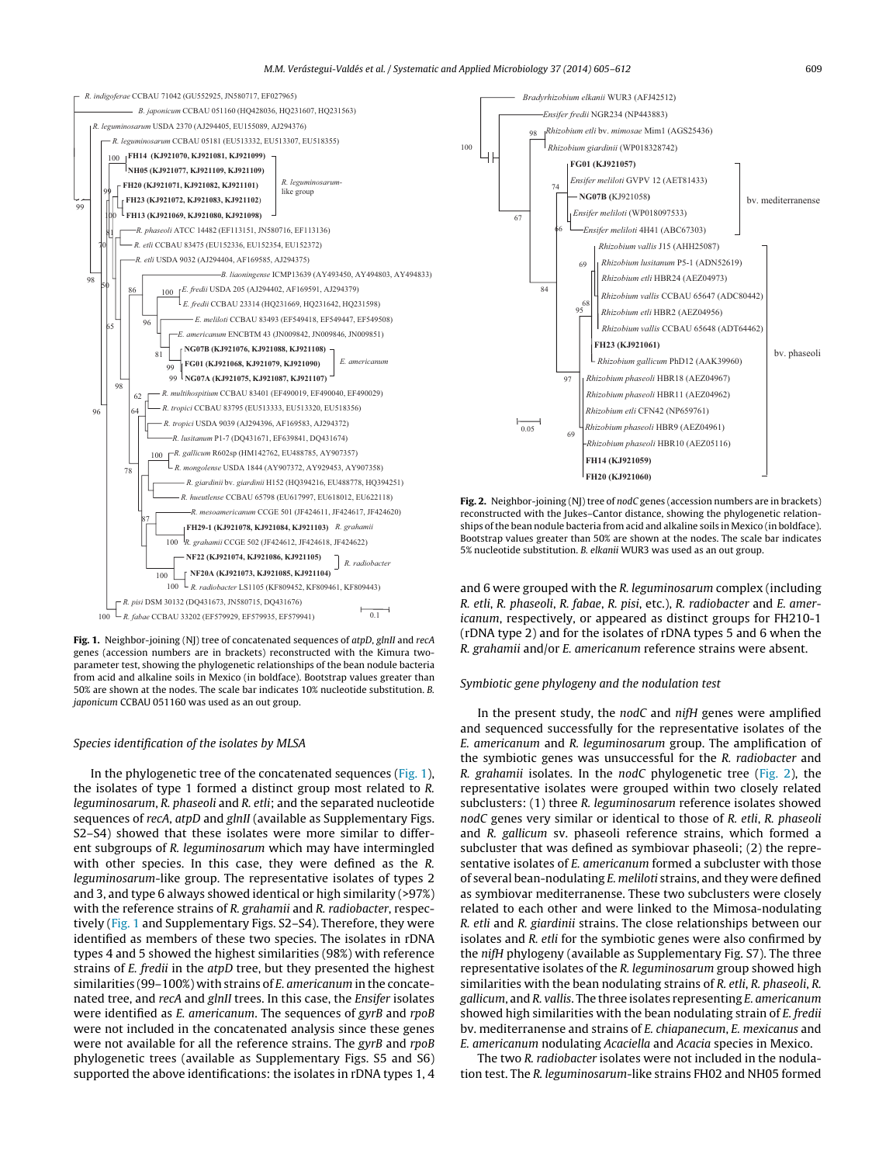<span id="page-4-0"></span>

**Fig. 1.** Neighbor-joining (NJ) tree of concatenated sequences of atpD, glnII and recA genes (accession numbers are in brackets) reconstructed with the Kimura twoparameter test, showing the phylogenetic relationships of the bean nodule bacteria from acid and alkaline soils in Mexico (in boldface). Bootstrap values greater than 50% are shown at the nodes. The scale bar indicates 10% nucleotide substitution. B. japonicum CCBAU 051160 was used as an out group.

#### Species identification of the isolates by MLSA

In the phylogenetic tree of the concatenated sequences (Fig. 1), the isolates of type 1 formed a distinct group most related to R. leguminosarum, R. phaseoli and R. etli; and the separated nucleotide sequences of recA, atpD and glnII (available as Supplementary Figs. S2–S4) showed that these isolates were more similar to different subgroups of R. leguminosarum which may have intermingled with other species. In this case, they were defined as the R. leguminosarum-like group. The representative isolates of types 2 and 3, and type 6 always showed identical or high similarity (>97%) with the reference strains of R. grahamii and R. radiobacter, respectively (Fig. 1 and Supplementary Figs. S2–S4). Therefore, they were identified as members of these two species. The isolates in rDNA types 4 and 5 showed the highest similarities (98%) with reference strains of E. fredii in the atpD tree, but they presented the highest similarities (99–100%) with strains of E. americanum in the concatenated tree, and recA and glnII trees. In this case, the Ensifer isolates were identified as E. americanum. The sequences of gyrB and rpoB were not included in the concatenated analysis since these genes were not available for all the reference strains. The gyrB and rpoB phylogenetic trees (available as Supplementary Figs. S5 and S6) supported the above identifications: the isolates in rDNA types 1, 4



Fig. 2. Neighbor-joining (NJ) tree of nodC genes (accession numbers are in brackets) reconstructed with the Jukes–Cantor distance, showing the phylogenetic relationships ofthe bean nodule bacteria from acid and alkaline soils in Mexico (in boldface). Bootstrap values greater than 50% are shown at the nodes. The scale bar indicates 5% nucleotide substitution. B. elkanii WUR3 was used as an out group.

and 6 were grouped with the R. leguminosarum complex (including R. etli, R. phaseoli, R. fabae, R. pisi, etc.), R. radiobacter and E. americanum, respectively, or appeared as distinct groups for FH210-1 (rDNA type 2) and for the isolates of rDNA types 5 and 6 when the R. grahamii and/or E. americanum reference strains were absent.

### Symbiotic gene phylogeny and the nodulation test

In the present study, the nodC and  $ni\,$  genes were amplified and sequenced successfully for the representative isolates of the E. americanum and R. leguminosarum group. The amplification of the symbiotic genes was unsuccessful for the R. radiobacter and R. grahamii isolates. In the nodC phylogenetic tree (Fig. 2), the representative isolates were grouped within two closely related subclusters: (1) three R. leguminosarum reference isolates showed nodC genes very similar or identical to those of R. etli, R. phaseoli and R. gallicum sv. phaseoli reference strains, which formed a subcluster that was defined as symbiovar phaseoli; (2) the representative isolates of E. americanum formed a subcluster with those of several bean-nodulating E. meliloti strains, and they were defined as symbiovar mediterranense. These two subclusters were closely related to each other and were linked to the Mimosa-nodulating R. etli and R. giardinii strains. The close relationships between our isolates and R. etli for the symbiotic genes were also confirmed by the nifH phylogeny (available as Supplementary Fig. S7). The three representative isolates of the R. leguminosarum group showed high similarities with the bean nodulating strains of R. etli, R. phaseoli, R. gallicum, and R. vallis. The three isolates representing E. americanum showed high similarities with the bean nodulating strain of E. fredii bv. mediterranense and strains of E. chiapanecum, E. mexicanus and E. americanum nodulating Acaciella and Acacia species in Mexico.

The two R. radiobacter isolates were not included in the nodulation test. The R. leguminosarum-like strains FH02 and NH05 formed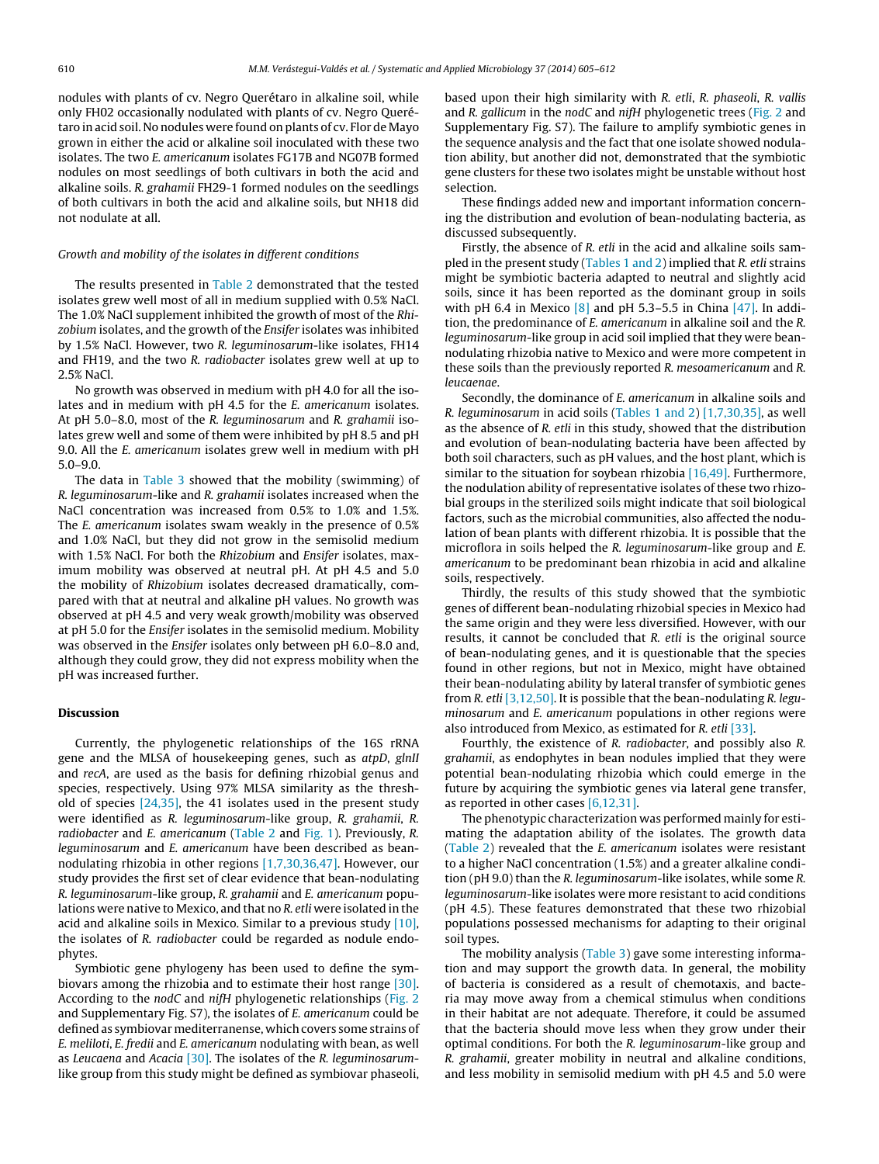nodules with plants of cv. Negro Querétaro in alkaline soil, while only FH02 occasionally nodulated with plants of cv. Negro Querétaro in acid soil. No nodules were found on plants of cv. Flor de Mayo grown in either the acid or alkaline soil inoculated with these two isolates. The two E. americanum isolates FG17B and NG07B formed nodules on most seedlings of both cultivars in both the acid and alkaline soils. R. grahamii FH29-1 formed nodules on the seedlings of both cultivars in both the acid and alkaline soils, but NH18 did not nodulate at all.

### Growth and mobility of the isolates in different conditions

The results presented in [Table](#page-3-0) 2 demonstrated that the tested isolates grew well most of all in medium supplied with 0.5% NaCl. The 1.0% NaCl supplement inhibited the growth of most of the Rhizobium isolates, and the growth of the Ensifer isolates was inhibited by 1.5% NaCl. However, two R. leguminosarum-like isolates, FH14 and FH19, and the two R. radiobacter isolates grew well at up to 2.5% NaCl.

No growth was observed in medium with pH 4.0 for all the isolates and in medium with pH 4.5 for the E. americanum isolates. At pH 5.0–8.0, most of the R. leguminosarum and R. grahamii isolates grew well and some of them were inhibited by pH 8.5 and pH 9.0. All the E. americanum isolates grew well in medium with pH 5.0–9.0.

The data in [Table](#page-6-0) 3 showed that the mobility (swimming) of R. leguminosarum-like and R. grahamii isolates increased when the NaCl concentration was increased from 0.5% to 1.0% and 1.5%. The E. americanum isolates swam weakly in the presence of 0.5% and 1.0% NaCl, but they did not grow in the semisolid medium with 1.5% NaCl. For both the Rhizobium and Ensifer isolates, maximum mobility was observed at neutral pH. At pH 4.5 and 5.0 the mobility of Rhizobium isolates decreased dramatically, compared with that at neutral and alkaline pH values. No growth was observed at pH 4.5 and very weak growth/mobility was observed at pH 5.0 for the Ensifer isolates in the semisolid medium. Mobility was observed in the Ensifer isolates only between pH 6.0–8.0 and, although they could grow, they did not express mobility when the pH was increased further.

# **Discussion**

Currently, the phylogenetic relationships of the 16S rRNA gene and the MLSA of housekeeping genes, such as atpD, glnII and recA, are used as the basis for defining rhizobial genus and species, respectively. Using 97% MLSA similarity as the threshold of species [\[24,35\],](#page-7-0) the 41 isolates used in the present study were identified as R. leguminosarum-like group, R. grahamii, R. radiobacter and E. americanum [\(Table](#page-3-0) 2 and [Fig.](#page-4-0) 1). Previously, R. leguminosarum and E. americanum have been described as beannodulating rhizobia in other regions [\[1,7,30,36,47\].](#page-6-0) However, our study provides the first set of clear evidence that bean-nodulating R. leguminosarum-like group, R. grahamii and E. americanum populations were native to Mexico, and that no R. etli were isolated in the acid and alkaline soils in Mexico. Similar to a previous study [\[10\],](#page-6-0) the isolates of R. radiobacter could be regarded as nodule endophytes.

Symbiotic gene phylogeny has been used to define the symbiovars among the rhizobia and to estimate their host range [\[30\].](#page-7-0) According to the nodC and nifH phylogenetic relationships ([Fig.](#page-4-0) 2 and Supplementary Fig. S7), the isolates of E. americanum could be defined as symbiovar mediterranense, which covers some strains of E. meliloti, E. fredii and E. americanum nodulating with bean, as well as Leucaena and Acacia  $[30]$ . The isolates of the R. leguminosarumlike group from this study might be defined as symbiovar phaseoli, based upon their high similarity with R. etli, R. phaseoli, R. vallis and R. gallicum in the nodC and nifH phylogenetic trees [\(Fig.](#page-4-0) 2 and Supplementary Fig. S7). The failure to amplify symbiotic genes in the sequence analysis and the fact that one isolate showed nodulation ability, but another did not, demonstrated that the symbiotic gene clusters for these two isolates might be unstable without host selection.

These findings added new and important information concerning the distribution and evolution of bean-nodulating bacteria, as discussed subsequently.

Firstly, the absence of R. etli in the acid and alkaline soils sampled in the present study ([Tables](#page-2-0) 1 and 2) implied that R. etli strains might be symbiotic bacteria adapted to neutral and slightly acid soils, since it has been reported as the dominant group in soils with pH 6.4 in Mexico  $\begin{bmatrix} 8 \end{bmatrix}$  and pH 5.3–5.5 in China  $\begin{bmatrix} 47 \end{bmatrix}$ . In addition, the predominance of E. americanum in alkaline soil and the R. leguminosarum-like group in acid soil implied that they were beannodulating rhizobia native to Mexico and were more competent in these soils than the previously reported R. mesoamericanum and R. leucaenae.

Secondly, the dominance of E. americanum in alkaline soils and R. leguminosarum in acid soils ([Tables](#page-2-0) 1 and 2) [\[1,7,30,35\],](#page-6-0) as well as the absence of R. etli in this study, showed that the distribution and evolution of bean-nodulating bacteria have been affected by both soil characters, such as pH values, and the host plant, which is similar to the situation for soybean rhizobia  $[16,49]$ . Furthermore, the nodulation ability of representative isolates of these two rhizobial groups in the sterilized soils might indicate that soil biological factors, such as the microbial communities, also affected the nodulation of bean plants with different rhizobia. It is possible that the microflora in soils helped the R. leguminosarum-like group and E. americanum to be predominant bean rhizobia in acid and alkaline soils, respectively.

Thirdly, the results of this study showed that the symbiotic genes of different bean-nodulating rhizobial species in Mexico had the same origin and they were less diversified. However, with our results, it cannot be concluded that R. etli is the original source of bean-nodulating genes, and it is questionable that the species found in other regions, but not in Mexico, might have obtained their bean-nodulating ability by lateral transfer of symbiotic genes from R. etli  $[3,12,50]$ . It is possible that the bean-nodulating R. leguminosarum and E. americanum populations in other regions were also introduced from Mexico, as estimated for R. etli [\[33\].](#page-7-0)

Fourthly, the existence of R. radiobacter, and possibly also R. grahamii, as endophytes in bean nodules implied that they were potential bean-nodulating rhizobia which could emerge in the future by acquiring the symbiotic genes via lateral gene transfer, as reported in other cases  $[6,12,31]$ .

The phenotypic characterization was performed mainly for estimating the adaptation ability of the isolates. The growth data [\(Table](#page-3-0) 2) revealed that the E. americanum isolates were resistant to a higher NaCl concentration (1.5%) and a greater alkaline condition (pH 9.0) than the R. leguminosarum-like isolates, while some R. leguminosarum-like isolates were more resistant to acid conditions (pH 4.5). These features demonstrated that these two rhizobial populations possessed mechanisms for adapting to their original soil types.

The mobility analysis ([Table](#page-6-0) 3) gave some interesting information and may support the growth data. In general, the mobility of bacteria is considered as a result of chemotaxis, and bacteria may move away from a chemical stimulus when conditions in their habitat are not adequate. Therefore, it could be assumed that the bacteria should move less when they grow under their optimal conditions. For both the R. leguminosarum-like group and R. grahamii, greater mobility in neutral and alkaline conditions, and less mobility in semisolid medium with pH 4.5 and 5.0 were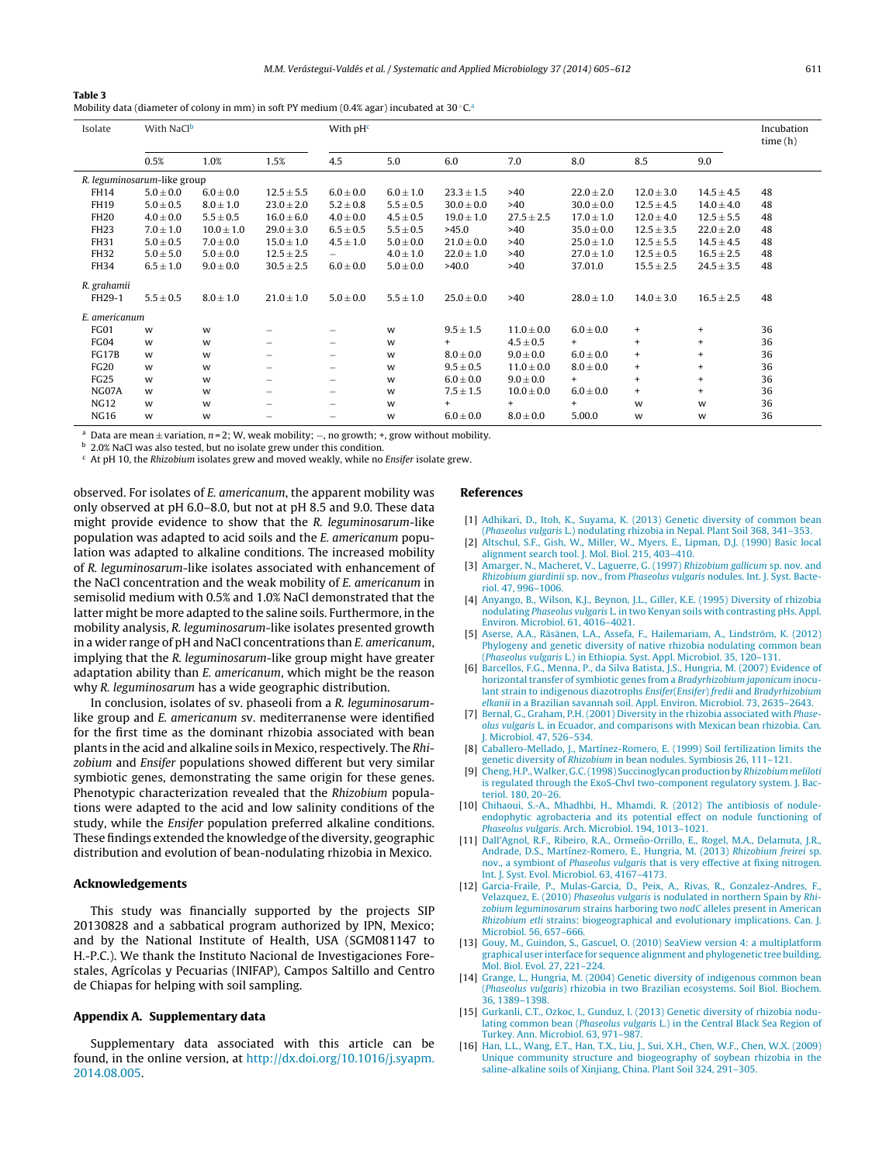### <span id="page-6-0"></span>**Table 3**

Mobility data (diameter of colony in mm) in soft PY medium (0.4% agar) incubated at 30 °C.<sup>a</sup>

| Isolate                     | With NaClb    |                |                          | With $pHc$               |               |                |                |                |                |                |    |
|-----------------------------|---------------|----------------|--------------------------|--------------------------|---------------|----------------|----------------|----------------|----------------|----------------|----|
|                             | 0.5%          | 1.0%           | 1.5%                     | 4.5                      | 5.0           | 6.0            | 7.0            | 8.0            | 8.5            | 9.0            |    |
| R. leguminosarum-like group |               |                |                          |                          |               |                |                |                |                |                |    |
| <b>FH14</b>                 | $5.0 \pm 0.0$ | $6.0 \pm 0.0$  | $12.5 \pm 5.5$           | $6.0 \pm 0.0$            | $6.0 \pm 1.0$ | $23.3 \pm 1.5$ | >40            | $22.0 \pm 2.0$ | $12.0 \pm 3.0$ | $14.5 \pm 4.5$ | 48 |
| <b>FH19</b>                 | $5.0 \pm 0.5$ | $8.0 \pm 1.0$  | $23.0 \pm 2.0$           | $5.2 \pm 0.8$            | $5.5 \pm 0.5$ | $30.0 \pm 0.0$ | >40            | $30.0 \pm 0.0$ | $12.5 \pm 4.5$ | $14.0 \pm 4.0$ | 48 |
| <b>FH20</b>                 | $4.0 \pm 0.0$ | $5.5 \pm 0.5$  | $16.0 \pm 6.0$           | $4.0 \pm 0.0$            | $4.5 \pm 0.5$ | $19.0 \pm 1.0$ | $27.5 \pm 2.5$ | $17.0 \pm 1.0$ | $12.0 \pm 4.0$ | $12.5 \pm 5.5$ | 48 |
| <b>FH23</b>                 | $7.0 \pm 1.0$ | $10.0 \pm 1.0$ | $29.0 \pm 3.0$           | $6.5 \pm 0.5$            | $5.5 \pm 0.5$ | >45.0          | >40            | $35.0 \pm 0.0$ | $12.5 \pm 3.5$ | $22.0 \pm 2.0$ | 48 |
| <b>FH31</b>                 | $5.0 \pm 0.5$ | $7.0 \pm 0.0$  | $15.0 \pm 1.0$           | $4.5 \pm 1.0$            | $5.0 \pm 0.0$ | $21.0 \pm 0.0$ | >40            | $25.0 \pm 1.0$ | $12.5 \pm 5.5$ | $14.5 \pm 4.5$ | 48 |
| <b>FH32</b>                 | $5.0 \pm 5.0$ | $5.0 \pm 0.0$  | $12.5 \pm 2.5$           |                          | $4.0 \pm 1.0$ | $22.0 \pm 1.0$ | >40            | $27.0 \pm 1.0$ | $12.5 \pm 0.5$ | $16.5 \pm 2.5$ | 48 |
| <b>FH34</b>                 | $6.5 \pm 1.0$ | $9.0 \pm 0.0$  | $30.5 \pm 2.5$           | $6.0 \pm 0.0$            | $5.0 \pm 0.0$ | >40.0          | >40            | 37.01.0        | $15.5 \pm 2.5$ | $24.5 \pm 3.5$ | 48 |
| R. grahamii                 |               |                |                          |                          |               |                |                |                |                |                |    |
| FH29-1                      | $5.5 \pm 0.5$ | $8.0 \pm 1.0$  | $21.0 \pm 1.0$           | $5.0 \pm 0.0$            | $5.5 \pm 1.0$ | $25.0 \pm 0.0$ | >40            | $28.0 \pm 1.0$ | $14.0 \pm 3.0$ | $16.5 \pm 2.5$ | 48 |
| E. americanum               |               |                |                          |                          |               |                |                |                |                |                |    |
| <b>FG01</b>                 | w             | W              | $\overline{\phantom{0}}$ |                          | W             | $9.5 \pm 1.5$  | $11.0 \pm 0.0$ | $6.0\pm0.0$    | $\overline{+}$ | $\ddot{}$      | 36 |
| <b>FG04</b>                 | W             | W              | $\overline{\phantom{m}}$ | $\overline{\phantom{a}}$ | W             | $+$            | $4.5 \pm 0.5$  | $+$            | $\overline{+}$ | $\ddot{}$      | 36 |
| FG17B                       | W             | W              | -                        |                          | W             | $8.0 \pm 0.0$  | $9.0 \pm 0.0$  | $6.0 \pm 0.0$  | $+$            | $\ddot{}$      | 36 |
| <b>FG20</b>                 | W             | W              | $\overline{\phantom{m}}$ |                          | w             | $9.5 \pm 0.5$  | $11.0 \pm 0.0$ | $8.0 \pm 0.0$  | $\overline{+}$ | $\ddot{}$      | 36 |
| <b>FG25</b>                 | W             | w              | $\qquad \qquad -$        | $\qquad \qquad$          | W             | $6.0 \pm 0.0$  | $9.0 \pm 0.0$  | $+$            | $+$            | $+$            | 36 |
| NG07A                       | W             | W              | $\qquad \qquad -$        | $\qquad \qquad$          | w             | $7.5 \pm 1.5$  | $10.0 \pm 0.0$ | $6.0 \pm 0.0$  | $\ddot{}$      | $\ddot{}$      | 36 |
| <b>NG12</b>                 | W             | W              | $\overline{\phantom{m}}$ | $\qquad \qquad$          | W             | $+$            | $+$            | $+$            | W              | W              | 36 |
| <b>NG16</b>                 | W             | W              |                          |                          | W             | $6.0 \pm 0.0$  | $8.0 \pm 0.0$  | 5.00.0         | W              | W              | 36 |

<sup>a</sup> Data are mean ± variation, *n* = 2; W, weak mobility; –, no growth; +, grow without mobility. **b** 2.0% NaCl was also tested, but no isolate grew under this condition.

 $c$  At pH 10, the *Rhizobium* isolates grew and moved weakly, while no *Ensifer* isolate grew.

observed. For isolates of E. americanum, the apparent mobility was only observed at pH 6.0–8.0, but not at pH 8.5 and 9.0. These data might provide evidence to show that the R. leguminosarum-like population was adapted to acid soils and the E. americanum population was adapted to alkaline conditions. The increased mobility of R. leguminosarum-like isolates associated with enhancement of the NaCl concentration and the weak mobility of E. americanum in semisolid medium with 0.5% and 1.0% NaCl demonstrated that the latter might be more adapted to the saline soils. Furthermore, in the mobility analysis, R. leguminosarum-like isolates presented growth in a wider range of pH and NaCl concentrations than E. americanum, implying that the R. leguminosarum-like group might have greater adaptation ability than E. americanum, which might be the reason why R. leguminosarum has a wide geographic distribution.

In conclusion, isolates of sv. phaseoli from a R. leguminosarumlike group and E. americanum sv. mediterranense were identified for the first time as the dominant rhizobia associated with bean plants in the acid and alkaline soils in Mexico, respectively. The Rhizobium and Ensifer populations showed different but very similar symbiotic genes, demonstrating the same origin for these genes. Phenotypic characterization revealed that the Rhizobium populations were adapted to the acid and low salinity conditions of the study, while the Ensifer population preferred alkaline conditions. These findings extended the knowledge ofthe diversity, geographic distribution and evolution of bean-nodulating rhizobia in Mexico.

# **Acknowledgements**

This study was financially supported by the projects SIP 20130828 and a sabbatical program authorized by IPN, Mexico; and by the National Institute of Health, USA (SGM081147 to H.-P.C.). We thank the Instituto Nacional de Investigaciones Forestales, Agrícolas y Pecuarias (INIFAP), Campos Saltillo and Centro de Chiapas for helping with soil sampling.

# **Appendix A. Supplementary data**

Supplementary data associated with this article can be found, in the online version, at [http://dx.doi.org/10.1016/j.syapm.](http://dx.doi.org/10.1016/j.syapm.2014.08.005) [2014.08.005.](http://dx.doi.org/10.1016/j.syapm.2014.08.005)

#### **References**

- [1] [Adhikari,](http://refhub.elsevier.com/S0723-2020(14)00125-8/sbref0005) [D.,](http://refhub.elsevier.com/S0723-2020(14)00125-8/sbref0005) [Itoh,](http://refhub.elsevier.com/S0723-2020(14)00125-8/sbref0005) [K.,](http://refhub.elsevier.com/S0723-2020(14)00125-8/sbref0005) [Suyama,](http://refhub.elsevier.com/S0723-2020(14)00125-8/sbref0005) [K.](http://refhub.elsevier.com/S0723-2020(14)00125-8/sbref0005) [\(2013\)](http://refhub.elsevier.com/S0723-2020(14)00125-8/sbref0005) [Genetic](http://refhub.elsevier.com/S0723-2020(14)00125-8/sbref0005) [diversity](http://refhub.elsevier.com/S0723-2020(14)00125-8/sbref0005) [of](http://refhub.elsevier.com/S0723-2020(14)00125-8/sbref0005) [common](http://refhub.elsevier.com/S0723-2020(14)00125-8/sbref0005) [bean](http://refhub.elsevier.com/S0723-2020(14)00125-8/sbref0005) [\(](http://refhub.elsevier.com/S0723-2020(14)00125-8/sbref0005)[Phaseolus](http://refhub.elsevier.com/S0723-2020(14)00125-8/sbref0005) [vulgaris](http://refhub.elsevier.com/S0723-2020(14)00125-8/sbref0005) [L.\)](http://refhub.elsevier.com/S0723-2020(14)00125-8/sbref0005) [nodulating](http://refhub.elsevier.com/S0723-2020(14)00125-8/sbref0005) [rhizobia](http://refhub.elsevier.com/S0723-2020(14)00125-8/sbref0005) [in](http://refhub.elsevier.com/S0723-2020(14)00125-8/sbref0005) [Nepal.](http://refhub.elsevier.com/S0723-2020(14)00125-8/sbref0005) [Plant](http://refhub.elsevier.com/S0723-2020(14)00125-8/sbref0005) [Soil](http://refhub.elsevier.com/S0723-2020(14)00125-8/sbref0005) [368,](http://refhub.elsevier.com/S0723-2020(14)00125-8/sbref0005) [341–353.](http://refhub.elsevier.com/S0723-2020(14)00125-8/sbref0005)
- [2] [Altschul,](http://refhub.elsevier.com/S0723-2020(14)00125-8/sbref0010) [S.F.,](http://refhub.elsevier.com/S0723-2020(14)00125-8/sbref0010) [Gish,](http://refhub.elsevier.com/S0723-2020(14)00125-8/sbref0010) [W.,](http://refhub.elsevier.com/S0723-2020(14)00125-8/sbref0010) [Miller,](http://refhub.elsevier.com/S0723-2020(14)00125-8/sbref0010) [W.,](http://refhub.elsevier.com/S0723-2020(14)00125-8/sbref0010) [Myers,](http://refhub.elsevier.com/S0723-2020(14)00125-8/sbref0010) [E.,](http://refhub.elsevier.com/S0723-2020(14)00125-8/sbref0010) [Lipman,](http://refhub.elsevier.com/S0723-2020(14)00125-8/sbref0010) [D.J.](http://refhub.elsevier.com/S0723-2020(14)00125-8/sbref0010) [\(1990\)](http://refhub.elsevier.com/S0723-2020(14)00125-8/sbref0010) [Basic](http://refhub.elsevier.com/S0723-2020(14)00125-8/sbref0010) [local](http://refhub.elsevier.com/S0723-2020(14)00125-8/sbref0010) [alignment](http://refhub.elsevier.com/S0723-2020(14)00125-8/sbref0010) [search](http://refhub.elsevier.com/S0723-2020(14)00125-8/sbref0010) [tool.](http://refhub.elsevier.com/S0723-2020(14)00125-8/sbref0010) [J.](http://refhub.elsevier.com/S0723-2020(14)00125-8/sbref0010) [Mol.](http://refhub.elsevier.com/S0723-2020(14)00125-8/sbref0010) [Biol.](http://refhub.elsevier.com/S0723-2020(14)00125-8/sbref0010) [215,](http://refhub.elsevier.com/S0723-2020(14)00125-8/sbref0010) [403–410.](http://refhub.elsevier.com/S0723-2020(14)00125-8/sbref0010)
- [3] [Amarger,](http://refhub.elsevier.com/S0723-2020(14)00125-8/sbref0015) [N.,](http://refhub.elsevier.com/S0723-2020(14)00125-8/sbref0015) [Macheret,](http://refhub.elsevier.com/S0723-2020(14)00125-8/sbref0015) [V.,](http://refhub.elsevier.com/S0723-2020(14)00125-8/sbref0015) [Laguerre,](http://refhub.elsevier.com/S0723-2020(14)00125-8/sbref0015) [G.](http://refhub.elsevier.com/S0723-2020(14)00125-8/sbref0015) [\(1997\)](http://refhub.elsevier.com/S0723-2020(14)00125-8/sbref0015) [Rhizobium](http://refhub.elsevier.com/S0723-2020(14)00125-8/sbref0015) [gallicum](http://refhub.elsevier.com/S0723-2020(14)00125-8/sbref0015) [sp.](http://refhub.elsevier.com/S0723-2020(14)00125-8/sbref0015) [nov.](http://refhub.elsevier.com/S0723-2020(14)00125-8/sbref0015) [and](http://refhub.elsevier.com/S0723-2020(14)00125-8/sbref0015) [Rhizobium](http://refhub.elsevier.com/S0723-2020(14)00125-8/sbref0015) [giardinii](http://refhub.elsevier.com/S0723-2020(14)00125-8/sbref0015) [sp.](http://refhub.elsevier.com/S0723-2020(14)00125-8/sbref0015) [nov.,](http://refhub.elsevier.com/S0723-2020(14)00125-8/sbref0015) [from](http://refhub.elsevier.com/S0723-2020(14)00125-8/sbref0015) [Phaseolus](http://refhub.elsevier.com/S0723-2020(14)00125-8/sbref0015) [vulgaris](http://refhub.elsevier.com/S0723-2020(14)00125-8/sbref0015) [nodules.](http://refhub.elsevier.com/S0723-2020(14)00125-8/sbref0015) [Int.](http://refhub.elsevier.com/S0723-2020(14)00125-8/sbref0015) [J.](http://refhub.elsevier.com/S0723-2020(14)00125-8/sbref0015) [Syst.](http://refhub.elsevier.com/S0723-2020(14)00125-8/sbref0015) [Bacte](http://refhub.elsevier.com/S0723-2020(14)00125-8/sbref0015)[riol.](http://refhub.elsevier.com/S0723-2020(14)00125-8/sbref0015) [47,](http://refhub.elsevier.com/S0723-2020(14)00125-8/sbref0015) [996](http://refhub.elsevier.com/S0723-2020(14)00125-8/sbref0015)–[1006.](http://refhub.elsevier.com/S0723-2020(14)00125-8/sbref0015)
- [4] [Anyango,](http://refhub.elsevier.com/S0723-2020(14)00125-8/sbref0020) [B.,](http://refhub.elsevier.com/S0723-2020(14)00125-8/sbref0020) [Wilson,](http://refhub.elsevier.com/S0723-2020(14)00125-8/sbref0020) [K.J.,](http://refhub.elsevier.com/S0723-2020(14)00125-8/sbref0020) [Beynon,](http://refhub.elsevier.com/S0723-2020(14)00125-8/sbref0020) [J.L.,](http://refhub.elsevier.com/S0723-2020(14)00125-8/sbref0020) [Giller,](http://refhub.elsevier.com/S0723-2020(14)00125-8/sbref0020) [K.E.](http://refhub.elsevier.com/S0723-2020(14)00125-8/sbref0020) [\(1995\)](http://refhub.elsevier.com/S0723-2020(14)00125-8/sbref0020) [Diversity](http://refhub.elsevier.com/S0723-2020(14)00125-8/sbref0020) [of](http://refhub.elsevier.com/S0723-2020(14)00125-8/sbref0020) [rhizobia](http://refhub.elsevier.com/S0723-2020(14)00125-8/sbref0020) [nodulating](http://refhub.elsevier.com/S0723-2020(14)00125-8/sbref0020) [Phaseolus](http://refhub.elsevier.com/S0723-2020(14)00125-8/sbref0020) [vulgaris](http://refhub.elsevier.com/S0723-2020(14)00125-8/sbref0020) [L.](http://refhub.elsevier.com/S0723-2020(14)00125-8/sbref0020) [in](http://refhub.elsevier.com/S0723-2020(14)00125-8/sbref0020) [two](http://refhub.elsevier.com/S0723-2020(14)00125-8/sbref0020) [Kenyan](http://refhub.elsevier.com/S0723-2020(14)00125-8/sbref0020) [soils](http://refhub.elsevier.com/S0723-2020(14)00125-8/sbref0020) [with](http://refhub.elsevier.com/S0723-2020(14)00125-8/sbref0020) [contrasting](http://refhub.elsevier.com/S0723-2020(14)00125-8/sbref0020) [pHs.](http://refhub.elsevier.com/S0723-2020(14)00125-8/sbref0020) [Appl.](http://refhub.elsevier.com/S0723-2020(14)00125-8/sbref0020) [Environ.](http://refhub.elsevier.com/S0723-2020(14)00125-8/sbref0020) [Microbiol.](http://refhub.elsevier.com/S0723-2020(14)00125-8/sbref0020) [61,](http://refhub.elsevier.com/S0723-2020(14)00125-8/sbref0020) [4016–4021.](http://refhub.elsevier.com/S0723-2020(14)00125-8/sbref0020)
- [5] [Aserse,](http://refhub.elsevier.com/S0723-2020(14)00125-8/sbref0025) [A.A.,](http://refhub.elsevier.com/S0723-2020(14)00125-8/sbref0025) [Räsänen,](http://refhub.elsevier.com/S0723-2020(14)00125-8/sbref0025) [L.A.,](http://refhub.elsevier.com/S0723-2020(14)00125-8/sbref0025) [Assefa,](http://refhub.elsevier.com/S0723-2020(14)00125-8/sbref0025) [F.,](http://refhub.elsevier.com/S0723-2020(14)00125-8/sbref0025) [Hailemariam,](http://refhub.elsevier.com/S0723-2020(14)00125-8/sbref0025) [A.,](http://refhub.elsevier.com/S0723-2020(14)00125-8/sbref0025) [Lindström,](http://refhub.elsevier.com/S0723-2020(14)00125-8/sbref0025) [K.](http://refhub.elsevier.com/S0723-2020(14)00125-8/sbref0025) [\(2012\)](http://refhub.elsevier.com/S0723-2020(14)00125-8/sbref0025) [Phylogeny](http://refhub.elsevier.com/S0723-2020(14)00125-8/sbref0025) [and](http://refhub.elsevier.com/S0723-2020(14)00125-8/sbref0025) [genetic](http://refhub.elsevier.com/S0723-2020(14)00125-8/sbref0025) [diversity](http://refhub.elsevier.com/S0723-2020(14)00125-8/sbref0025) [of](http://refhub.elsevier.com/S0723-2020(14)00125-8/sbref0025) [native](http://refhub.elsevier.com/S0723-2020(14)00125-8/sbref0025) [rhizobia](http://refhub.elsevier.com/S0723-2020(14)00125-8/sbref0025) [nodulating](http://refhub.elsevier.com/S0723-2020(14)00125-8/sbref0025) [common](http://refhub.elsevier.com/S0723-2020(14)00125-8/sbref0025) [bean](http://refhub.elsevier.com/S0723-2020(14)00125-8/sbref0025) [\(](http://refhub.elsevier.com/S0723-2020(14)00125-8/sbref0025)[Phaseolus](http://refhub.elsevier.com/S0723-2020(14)00125-8/sbref0025) [vulgaris](http://refhub.elsevier.com/S0723-2020(14)00125-8/sbref0025) [L.\)](http://refhub.elsevier.com/S0723-2020(14)00125-8/sbref0025) [in](http://refhub.elsevier.com/S0723-2020(14)00125-8/sbref0025) [Ethiopia.](http://refhub.elsevier.com/S0723-2020(14)00125-8/sbref0025) [Syst.](http://refhub.elsevier.com/S0723-2020(14)00125-8/sbref0025) [Appl.](http://refhub.elsevier.com/S0723-2020(14)00125-8/sbref0025) [Microbiol.](http://refhub.elsevier.com/S0723-2020(14)00125-8/sbref0025) [35,](http://refhub.elsevier.com/S0723-2020(14)00125-8/sbref0025) [120](http://refhub.elsevier.com/S0723-2020(14)00125-8/sbref0025)–[131.](http://refhub.elsevier.com/S0723-2020(14)00125-8/sbref0025)
- [6] [Barcellos,](http://refhub.elsevier.com/S0723-2020(14)00125-8/sbref0030) [F.G.,](http://refhub.elsevier.com/S0723-2020(14)00125-8/sbref0030) [Menna,](http://refhub.elsevier.com/S0723-2020(14)00125-8/sbref0030) [P.,](http://refhub.elsevier.com/S0723-2020(14)00125-8/sbref0030) [da](http://refhub.elsevier.com/S0723-2020(14)00125-8/sbref0030) [Silva](http://refhub.elsevier.com/S0723-2020(14)00125-8/sbref0030) [Batista,](http://refhub.elsevier.com/S0723-2020(14)00125-8/sbref0030) [J.S.,](http://refhub.elsevier.com/S0723-2020(14)00125-8/sbref0030) [Hungria,](http://refhub.elsevier.com/S0723-2020(14)00125-8/sbref0030) [M.](http://refhub.elsevier.com/S0723-2020(14)00125-8/sbref0030) [\(2007\)](http://refhub.elsevier.com/S0723-2020(14)00125-8/sbref0030) [Evidence](http://refhub.elsevier.com/S0723-2020(14)00125-8/sbref0030) [of](http://refhub.elsevier.com/S0723-2020(14)00125-8/sbref0030) [horizontal](http://refhub.elsevier.com/S0723-2020(14)00125-8/sbref0030) [transfer](http://refhub.elsevier.com/S0723-2020(14)00125-8/sbref0030) [of](http://refhub.elsevier.com/S0723-2020(14)00125-8/sbref0030) [symbiotic](http://refhub.elsevier.com/S0723-2020(14)00125-8/sbref0030) [genes](http://refhub.elsevier.com/S0723-2020(14)00125-8/sbref0030) [from](http://refhub.elsevier.com/S0723-2020(14)00125-8/sbref0030) [a](http://refhub.elsevier.com/S0723-2020(14)00125-8/sbref0030) [Bradyrhizobium](http://refhub.elsevier.com/S0723-2020(14)00125-8/sbref0030) [japonicum](http://refhub.elsevier.com/S0723-2020(14)00125-8/sbref0030) [inocu](http://refhub.elsevier.com/S0723-2020(14)00125-8/sbref0030)[lant](http://refhub.elsevier.com/S0723-2020(14)00125-8/sbref0030) [strain](http://refhub.elsevier.com/S0723-2020(14)00125-8/sbref0030) [to](http://refhub.elsevier.com/S0723-2020(14)00125-8/sbref0030) [indigenous](http://refhub.elsevier.com/S0723-2020(14)00125-8/sbref0030) [diazotrophs](http://refhub.elsevier.com/S0723-2020(14)00125-8/sbref0030) [Ensifer](http://refhub.elsevier.com/S0723-2020(14)00125-8/sbref0030)[\(](http://refhub.elsevier.com/S0723-2020(14)00125-8/sbref0030)[Ensifer](http://refhub.elsevier.com/S0723-2020(14)00125-8/sbref0030)[\)](http://refhub.elsevier.com/S0723-2020(14)00125-8/sbref0030) [fredii](http://refhub.elsevier.com/S0723-2020(14)00125-8/sbref0030) [and](http://refhub.elsevier.com/S0723-2020(14)00125-8/sbref0030) [Bradyrhizobium](http://refhub.elsevier.com/S0723-2020(14)00125-8/sbref0030) [elkanii](http://refhub.elsevier.com/S0723-2020(14)00125-8/sbref0030) [in](http://refhub.elsevier.com/S0723-2020(14)00125-8/sbref0030) [a](http://refhub.elsevier.com/S0723-2020(14)00125-8/sbref0030) [Brazilian](http://refhub.elsevier.com/S0723-2020(14)00125-8/sbref0030) [savannah](http://refhub.elsevier.com/S0723-2020(14)00125-8/sbref0030) [soil.](http://refhub.elsevier.com/S0723-2020(14)00125-8/sbref0030) [Appl.](http://refhub.elsevier.com/S0723-2020(14)00125-8/sbref0030) [Environ.](http://refhub.elsevier.com/S0723-2020(14)00125-8/sbref0030) [Microbiol.](http://refhub.elsevier.com/S0723-2020(14)00125-8/sbref0030) [73,](http://refhub.elsevier.com/S0723-2020(14)00125-8/sbref0030) [2635](http://refhub.elsevier.com/S0723-2020(14)00125-8/sbref0030)–[2643.](http://refhub.elsevier.com/S0723-2020(14)00125-8/sbref0030)
- [7] [Bernal,](http://refhub.elsevier.com/S0723-2020(14)00125-8/sbref0035) [G.,](http://refhub.elsevier.com/S0723-2020(14)00125-8/sbref0035) [Graham,](http://refhub.elsevier.com/S0723-2020(14)00125-8/sbref0035) [P.H.](http://refhub.elsevier.com/S0723-2020(14)00125-8/sbref0035) [\(2001\)](http://refhub.elsevier.com/S0723-2020(14)00125-8/sbref0035) [Diversity](http://refhub.elsevier.com/S0723-2020(14)00125-8/sbref0035) [in](http://refhub.elsevier.com/S0723-2020(14)00125-8/sbref0035) [the](http://refhub.elsevier.com/S0723-2020(14)00125-8/sbref0035) [rhizobia](http://refhub.elsevier.com/S0723-2020(14)00125-8/sbref0035) [associated](http://refhub.elsevier.com/S0723-2020(14)00125-8/sbref0035) [with](http://refhub.elsevier.com/S0723-2020(14)00125-8/sbref0035) [Phase](http://refhub.elsevier.com/S0723-2020(14)00125-8/sbref0035)[olus](http://refhub.elsevier.com/S0723-2020(14)00125-8/sbref0035) [vulgaris](http://refhub.elsevier.com/S0723-2020(14)00125-8/sbref0035) [L.](http://refhub.elsevier.com/S0723-2020(14)00125-8/sbref0035) [in](http://refhub.elsevier.com/S0723-2020(14)00125-8/sbref0035) [Ecuador,](http://refhub.elsevier.com/S0723-2020(14)00125-8/sbref0035) [and](http://refhub.elsevier.com/S0723-2020(14)00125-8/sbref0035) [comparisons](http://refhub.elsevier.com/S0723-2020(14)00125-8/sbref0035) [with](http://refhub.elsevier.com/S0723-2020(14)00125-8/sbref0035) [Mexican](http://refhub.elsevier.com/S0723-2020(14)00125-8/sbref0035) [bean](http://refhub.elsevier.com/S0723-2020(14)00125-8/sbref0035) [rhizobia.](http://refhub.elsevier.com/S0723-2020(14)00125-8/sbref0035) [Can.](http://refhub.elsevier.com/S0723-2020(14)00125-8/sbref0035) [J.](http://refhub.elsevier.com/S0723-2020(14)00125-8/sbref0035) [Microbiol.](http://refhub.elsevier.com/S0723-2020(14)00125-8/sbref0035) [47,](http://refhub.elsevier.com/S0723-2020(14)00125-8/sbref0035) [526](http://refhub.elsevier.com/S0723-2020(14)00125-8/sbref0035)–[534.](http://refhub.elsevier.com/S0723-2020(14)00125-8/sbref0035)
- [8] [Caballero-Mellado,](http://refhub.elsevier.com/S0723-2020(14)00125-8/sbref0040) [J.,](http://refhub.elsevier.com/S0723-2020(14)00125-8/sbref0040) [Martínez-Romero,](http://refhub.elsevier.com/S0723-2020(14)00125-8/sbref0040) [E.](http://refhub.elsevier.com/S0723-2020(14)00125-8/sbref0040) [\(1999\)](http://refhub.elsevier.com/S0723-2020(14)00125-8/sbref0040) [Soil](http://refhub.elsevier.com/S0723-2020(14)00125-8/sbref0040) [fertilization](http://refhub.elsevier.com/S0723-2020(14)00125-8/sbref0040) [limits](http://refhub.elsevier.com/S0723-2020(14)00125-8/sbref0040) [the](http://refhub.elsevier.com/S0723-2020(14)00125-8/sbref0040) [genetic](http://refhub.elsevier.com/S0723-2020(14)00125-8/sbref0040) [diversity](http://refhub.elsevier.com/S0723-2020(14)00125-8/sbref0040) [of](http://refhub.elsevier.com/S0723-2020(14)00125-8/sbref0040) [Rhizobium](http://refhub.elsevier.com/S0723-2020(14)00125-8/sbref0040) [in](http://refhub.elsevier.com/S0723-2020(14)00125-8/sbref0040) [bean](http://refhub.elsevier.com/S0723-2020(14)00125-8/sbref0040) [nodules.](http://refhub.elsevier.com/S0723-2020(14)00125-8/sbref0040) [Symbiosis](http://refhub.elsevier.com/S0723-2020(14)00125-8/sbref0040) [26,](http://refhub.elsevier.com/S0723-2020(14)00125-8/sbref0040) [111](http://refhub.elsevier.com/S0723-2020(14)00125-8/sbref0040)–[121.](http://refhub.elsevier.com/S0723-2020(14)00125-8/sbref0040)
- [9] [Cheng,H.P.,Walker,](http://refhub.elsevier.com/S0723-2020(14)00125-8/sbref0045) [G.C.\(1998\)](http://refhub.elsevier.com/S0723-2020(14)00125-8/sbref0045) [Succinoglycanproductionby](http://refhub.elsevier.com/S0723-2020(14)00125-8/sbref0045)[Rhizobium](http://refhub.elsevier.com/S0723-2020(14)00125-8/sbref0045) [meliloti](http://refhub.elsevier.com/S0723-2020(14)00125-8/sbref0045) [is](http://refhub.elsevier.com/S0723-2020(14)00125-8/sbref0045) [regulated](http://refhub.elsevier.com/S0723-2020(14)00125-8/sbref0045) [through](http://refhub.elsevier.com/S0723-2020(14)00125-8/sbref0045) [the](http://refhub.elsevier.com/S0723-2020(14)00125-8/sbref0045) [ExoS-ChvI](http://refhub.elsevier.com/S0723-2020(14)00125-8/sbref0045) [two-component](http://refhub.elsevier.com/S0723-2020(14)00125-8/sbref0045) [regulatory](http://refhub.elsevier.com/S0723-2020(14)00125-8/sbref0045) [system.](http://refhub.elsevier.com/S0723-2020(14)00125-8/sbref0045) [J.](http://refhub.elsevier.com/S0723-2020(14)00125-8/sbref0045) [Bac](http://refhub.elsevier.com/S0723-2020(14)00125-8/sbref0045)[teriol.](http://refhub.elsevier.com/S0723-2020(14)00125-8/sbref0045) [180,](http://refhub.elsevier.com/S0723-2020(14)00125-8/sbref0045) [20–26.](http://refhub.elsevier.com/S0723-2020(14)00125-8/sbref0045)
- [10] [Chihaoui,](http://refhub.elsevier.com/S0723-2020(14)00125-8/sbref0050) [S.-A.,](http://refhub.elsevier.com/S0723-2020(14)00125-8/sbref0050) [Mhadhbi,](http://refhub.elsevier.com/S0723-2020(14)00125-8/sbref0050) [H.,](http://refhub.elsevier.com/S0723-2020(14)00125-8/sbref0050) [Mhamdi,](http://refhub.elsevier.com/S0723-2020(14)00125-8/sbref0050) [R.](http://refhub.elsevier.com/S0723-2020(14)00125-8/sbref0050) [\(2012\)](http://refhub.elsevier.com/S0723-2020(14)00125-8/sbref0050) [The](http://refhub.elsevier.com/S0723-2020(14)00125-8/sbref0050) [antibiosis](http://refhub.elsevier.com/S0723-2020(14)00125-8/sbref0050) [of](http://refhub.elsevier.com/S0723-2020(14)00125-8/sbref0050) [nodule](http://refhub.elsevier.com/S0723-2020(14)00125-8/sbref0050)[endophytic](http://refhub.elsevier.com/S0723-2020(14)00125-8/sbref0050) [agrobacteria](http://refhub.elsevier.com/S0723-2020(14)00125-8/sbref0050) [and](http://refhub.elsevier.com/S0723-2020(14)00125-8/sbref0050) [its](http://refhub.elsevier.com/S0723-2020(14)00125-8/sbref0050) [potential](http://refhub.elsevier.com/S0723-2020(14)00125-8/sbref0050) [effect](http://refhub.elsevier.com/S0723-2020(14)00125-8/sbref0050) [on](http://refhub.elsevier.com/S0723-2020(14)00125-8/sbref0050) [nodule](http://refhub.elsevier.com/S0723-2020(14)00125-8/sbref0050) [functioning](http://refhub.elsevier.com/S0723-2020(14)00125-8/sbref0050) [of](http://refhub.elsevier.com/S0723-2020(14)00125-8/sbref0050) [Phaseolus](http://refhub.elsevier.com/S0723-2020(14)00125-8/sbref0050) [vulgaris](http://refhub.elsevier.com/S0723-2020(14)00125-8/sbref0050). [Arch.](http://refhub.elsevier.com/S0723-2020(14)00125-8/sbref0050) [Microbiol.](http://refhub.elsevier.com/S0723-2020(14)00125-8/sbref0050) [194,](http://refhub.elsevier.com/S0723-2020(14)00125-8/sbref0050) [1013–1021.](http://refhub.elsevier.com/S0723-2020(14)00125-8/sbref0050)
- [11] [Dall'Agnol,](http://refhub.elsevier.com/S0723-2020(14)00125-8/sbref0055) [R.F.,](http://refhub.elsevier.com/S0723-2020(14)00125-8/sbref0055) [Ribeiro,](http://refhub.elsevier.com/S0723-2020(14)00125-8/sbref0055) [R.A.,](http://refhub.elsevier.com/S0723-2020(14)00125-8/sbref0055) Ormeño-Orrillo, [E.,](http://refhub.elsevier.com/S0723-2020(14)00125-8/sbref0055) [Rogel,](http://refhub.elsevier.com/S0723-2020(14)00125-8/sbref0055) [M.A.,](http://refhub.elsevier.com/S0723-2020(14)00125-8/sbref0055) [Delamuta,](http://refhub.elsevier.com/S0723-2020(14)00125-8/sbref0055) [J.R.,](http://refhub.elsevier.com/S0723-2020(14)00125-8/sbref0055) [Andrade,](http://refhub.elsevier.com/S0723-2020(14)00125-8/sbref0055) [D.S.,](http://refhub.elsevier.com/S0723-2020(14)00125-8/sbref0055) [Martínez-Romero,](http://refhub.elsevier.com/S0723-2020(14)00125-8/sbref0055) [E.,](http://refhub.elsevier.com/S0723-2020(14)00125-8/sbref0055) [Hungria,](http://refhub.elsevier.com/S0723-2020(14)00125-8/sbref0055) [M.](http://refhub.elsevier.com/S0723-2020(14)00125-8/sbref0055) [\(2013\)](http://refhub.elsevier.com/S0723-2020(14)00125-8/sbref0055) [Rhizobium](http://refhub.elsevier.com/S0723-2020(14)00125-8/sbref0055) [freirei](http://refhub.elsevier.com/S0723-2020(14)00125-8/sbref0055) [sp.](http://refhub.elsevier.com/S0723-2020(14)00125-8/sbref0055) [nov.,](http://refhub.elsevier.com/S0723-2020(14)00125-8/sbref0055) [a](http://refhub.elsevier.com/S0723-2020(14)00125-8/sbref0055) [symbiont](http://refhub.elsevier.com/S0723-2020(14)00125-8/sbref0055) [of](http://refhub.elsevier.com/S0723-2020(14)00125-8/sbref0055) [Phaseolus](http://refhub.elsevier.com/S0723-2020(14)00125-8/sbref0055) [vulgaris](http://refhub.elsevier.com/S0723-2020(14)00125-8/sbref0055) [that](http://refhub.elsevier.com/S0723-2020(14)00125-8/sbref0055) [is](http://refhub.elsevier.com/S0723-2020(14)00125-8/sbref0055) [very](http://refhub.elsevier.com/S0723-2020(14)00125-8/sbref0055) [effective](http://refhub.elsevier.com/S0723-2020(14)00125-8/sbref0055) [at](http://refhub.elsevier.com/S0723-2020(14)00125-8/sbref0055) [fixing](http://refhub.elsevier.com/S0723-2020(14)00125-8/sbref0055) [nitrogen.](http://refhub.elsevier.com/S0723-2020(14)00125-8/sbref0055) [Int.](http://refhub.elsevier.com/S0723-2020(14)00125-8/sbref0055) [J.](http://refhub.elsevier.com/S0723-2020(14)00125-8/sbref0055) [Syst.](http://refhub.elsevier.com/S0723-2020(14)00125-8/sbref0055) [Evol.](http://refhub.elsevier.com/S0723-2020(14)00125-8/sbref0055) [Microbiol.](http://refhub.elsevier.com/S0723-2020(14)00125-8/sbref0055) [63,](http://refhub.elsevier.com/S0723-2020(14)00125-8/sbref0055) [4167–4173.](http://refhub.elsevier.com/S0723-2020(14)00125-8/sbref0055)
- [12] [Garcia-Fraile,](http://refhub.elsevier.com/S0723-2020(14)00125-8/sbref0060) [P.,](http://refhub.elsevier.com/S0723-2020(14)00125-8/sbref0060) [Mulas-Garcia,](http://refhub.elsevier.com/S0723-2020(14)00125-8/sbref0060) [D.,](http://refhub.elsevier.com/S0723-2020(14)00125-8/sbref0060) [Peix,](http://refhub.elsevier.com/S0723-2020(14)00125-8/sbref0060) [A.,](http://refhub.elsevier.com/S0723-2020(14)00125-8/sbref0060) [Rivas,](http://refhub.elsevier.com/S0723-2020(14)00125-8/sbref0060) [R.,](http://refhub.elsevier.com/S0723-2020(14)00125-8/sbref0060) [Gonzalez-Andres,](http://refhub.elsevier.com/S0723-2020(14)00125-8/sbref0060) [F.,](http://refhub.elsevier.com/S0723-2020(14)00125-8/sbref0060) [Velazquez,](http://refhub.elsevier.com/S0723-2020(14)00125-8/sbref0060) [E.](http://refhub.elsevier.com/S0723-2020(14)00125-8/sbref0060) [\(2010\)](http://refhub.elsevier.com/S0723-2020(14)00125-8/sbref0060) [Phaseolus](http://refhub.elsevier.com/S0723-2020(14)00125-8/sbref0060) [vulgaris](http://refhub.elsevier.com/S0723-2020(14)00125-8/sbref0060) [is](http://refhub.elsevier.com/S0723-2020(14)00125-8/sbref0060) [nodulated](http://refhub.elsevier.com/S0723-2020(14)00125-8/sbref0060) [in](http://refhub.elsevier.com/S0723-2020(14)00125-8/sbref0060) [northern](http://refhub.elsevier.com/S0723-2020(14)00125-8/sbref0060) [Spain](http://refhub.elsevier.com/S0723-2020(14)00125-8/sbref0060) [by](http://refhub.elsevier.com/S0723-2020(14)00125-8/sbref0060) [Rhi](http://refhub.elsevier.com/S0723-2020(14)00125-8/sbref0060)[zobium](http://refhub.elsevier.com/S0723-2020(14)00125-8/sbref0060) [leguminosarum](http://refhub.elsevier.com/S0723-2020(14)00125-8/sbref0060) [strains](http://refhub.elsevier.com/S0723-2020(14)00125-8/sbref0060) [harboring](http://refhub.elsevier.com/S0723-2020(14)00125-8/sbref0060) [two](http://refhub.elsevier.com/S0723-2020(14)00125-8/sbref0060) [nodC](http://refhub.elsevier.com/S0723-2020(14)00125-8/sbref0060) [alleles](http://refhub.elsevier.com/S0723-2020(14)00125-8/sbref0060) [present](http://refhub.elsevier.com/S0723-2020(14)00125-8/sbref0060) [in](http://refhub.elsevier.com/S0723-2020(14)00125-8/sbref0060) [American](http://refhub.elsevier.com/S0723-2020(14)00125-8/sbref0060) [Rhizobium](http://refhub.elsevier.com/S0723-2020(14)00125-8/sbref0060) [etli](http://refhub.elsevier.com/S0723-2020(14)00125-8/sbref0060) [strains:](http://refhub.elsevier.com/S0723-2020(14)00125-8/sbref0060) [biogeographical](http://refhub.elsevier.com/S0723-2020(14)00125-8/sbref0060) [and](http://refhub.elsevier.com/S0723-2020(14)00125-8/sbref0060) [evolutionary](http://refhub.elsevier.com/S0723-2020(14)00125-8/sbref0060) [implications.](http://refhub.elsevier.com/S0723-2020(14)00125-8/sbref0060) [Can.](http://refhub.elsevier.com/S0723-2020(14)00125-8/sbref0060) [J.](http://refhub.elsevier.com/S0723-2020(14)00125-8/sbref0060) [Microbiol.](http://refhub.elsevier.com/S0723-2020(14)00125-8/sbref0060) [56,](http://refhub.elsevier.com/S0723-2020(14)00125-8/sbref0060) [657–666.](http://refhub.elsevier.com/S0723-2020(14)00125-8/sbref0060)
- [13] [Gouy,](http://refhub.elsevier.com/S0723-2020(14)00125-8/sbref0065) [M.,](http://refhub.elsevier.com/S0723-2020(14)00125-8/sbref0065) [Guindon,](http://refhub.elsevier.com/S0723-2020(14)00125-8/sbref0065) [S.,](http://refhub.elsevier.com/S0723-2020(14)00125-8/sbref0065) [Gascuel,](http://refhub.elsevier.com/S0723-2020(14)00125-8/sbref0065) [O.](http://refhub.elsevier.com/S0723-2020(14)00125-8/sbref0065) [\(2010\)](http://refhub.elsevier.com/S0723-2020(14)00125-8/sbref0065) [SeaView](http://refhub.elsevier.com/S0723-2020(14)00125-8/sbref0065) [version](http://refhub.elsevier.com/S0723-2020(14)00125-8/sbref0065) [4:](http://refhub.elsevier.com/S0723-2020(14)00125-8/sbref0065) [a](http://refhub.elsevier.com/S0723-2020(14)00125-8/sbref0065) [multiplatform](http://refhub.elsevier.com/S0723-2020(14)00125-8/sbref0065) [graphical](http://refhub.elsevier.com/S0723-2020(14)00125-8/sbref0065) [user](http://refhub.elsevier.com/S0723-2020(14)00125-8/sbref0065) [interface](http://refhub.elsevier.com/S0723-2020(14)00125-8/sbref0065) [for](http://refhub.elsevier.com/S0723-2020(14)00125-8/sbref0065) [sequence](http://refhub.elsevier.com/S0723-2020(14)00125-8/sbref0065) [alignment](http://refhub.elsevier.com/S0723-2020(14)00125-8/sbref0065) [and](http://refhub.elsevier.com/S0723-2020(14)00125-8/sbref0065) [phylogenetic](http://refhub.elsevier.com/S0723-2020(14)00125-8/sbref0065) [tree](http://refhub.elsevier.com/S0723-2020(14)00125-8/sbref0065) [building.](http://refhub.elsevier.com/S0723-2020(14)00125-8/sbref0065) [Mol.](http://refhub.elsevier.com/S0723-2020(14)00125-8/sbref0065) [Biol.](http://refhub.elsevier.com/S0723-2020(14)00125-8/sbref0065) [Evol.](http://refhub.elsevier.com/S0723-2020(14)00125-8/sbref0065) [27,](http://refhub.elsevier.com/S0723-2020(14)00125-8/sbref0065) [221–224.](http://refhub.elsevier.com/S0723-2020(14)00125-8/sbref0065)
- [14] [Grange,](http://refhub.elsevier.com/S0723-2020(14)00125-8/sbref0070) [L.,](http://refhub.elsevier.com/S0723-2020(14)00125-8/sbref0070) [Hungria,](http://refhub.elsevier.com/S0723-2020(14)00125-8/sbref0070) [M.](http://refhub.elsevier.com/S0723-2020(14)00125-8/sbref0070) [\(2004\)](http://refhub.elsevier.com/S0723-2020(14)00125-8/sbref0070) [Genetic](http://refhub.elsevier.com/S0723-2020(14)00125-8/sbref0070) [diversity](http://refhub.elsevier.com/S0723-2020(14)00125-8/sbref0070) [of](http://refhub.elsevier.com/S0723-2020(14)00125-8/sbref0070) [indigenous](http://refhub.elsevier.com/S0723-2020(14)00125-8/sbref0070) [common](http://refhub.elsevier.com/S0723-2020(14)00125-8/sbref0070) [bean](http://refhub.elsevier.com/S0723-2020(14)00125-8/sbref0070) [\(](http://refhub.elsevier.com/S0723-2020(14)00125-8/sbref0070)[Phaseolus](http://refhub.elsevier.com/S0723-2020(14)00125-8/sbref0070) [vulgaris](http://refhub.elsevier.com/S0723-2020(14)00125-8/sbref0070)[\)](http://refhub.elsevier.com/S0723-2020(14)00125-8/sbref0070) [rhizobia](http://refhub.elsevier.com/S0723-2020(14)00125-8/sbref0070) [in](http://refhub.elsevier.com/S0723-2020(14)00125-8/sbref0070) [two](http://refhub.elsevier.com/S0723-2020(14)00125-8/sbref0070) [Brazilian](http://refhub.elsevier.com/S0723-2020(14)00125-8/sbref0070) [ecosystems.](http://refhub.elsevier.com/S0723-2020(14)00125-8/sbref0070) [Soil](http://refhub.elsevier.com/S0723-2020(14)00125-8/sbref0070) [Biol.](http://refhub.elsevier.com/S0723-2020(14)00125-8/sbref0070) [Biochem.](http://refhub.elsevier.com/S0723-2020(14)00125-8/sbref0070) [36,](http://refhub.elsevier.com/S0723-2020(14)00125-8/sbref0070) [1389](http://refhub.elsevier.com/S0723-2020(14)00125-8/sbref0070)–[1398.](http://refhub.elsevier.com/S0723-2020(14)00125-8/sbref0070)
- [15] [Gurkanli,](http://refhub.elsevier.com/S0723-2020(14)00125-8/sbref0075) [C.T.,](http://refhub.elsevier.com/S0723-2020(14)00125-8/sbref0075) [Ozkoc,](http://refhub.elsevier.com/S0723-2020(14)00125-8/sbref0075) [I.,](http://refhub.elsevier.com/S0723-2020(14)00125-8/sbref0075) [Gunduz,](http://refhub.elsevier.com/S0723-2020(14)00125-8/sbref0075) [I.](http://refhub.elsevier.com/S0723-2020(14)00125-8/sbref0075) [\(2013\)](http://refhub.elsevier.com/S0723-2020(14)00125-8/sbref0075) [Genetic](http://refhub.elsevier.com/S0723-2020(14)00125-8/sbref0075) [diversity](http://refhub.elsevier.com/S0723-2020(14)00125-8/sbref0075) [of](http://refhub.elsevier.com/S0723-2020(14)00125-8/sbref0075) [rhizobia](http://refhub.elsevier.com/S0723-2020(14)00125-8/sbref0075) [nodu](http://refhub.elsevier.com/S0723-2020(14)00125-8/sbref0075)[lating](http://refhub.elsevier.com/S0723-2020(14)00125-8/sbref0075) [common](http://refhub.elsevier.com/S0723-2020(14)00125-8/sbref0075) [bean](http://refhub.elsevier.com/S0723-2020(14)00125-8/sbref0075) [\(](http://refhub.elsevier.com/S0723-2020(14)00125-8/sbref0075)[Phaseolus](http://refhub.elsevier.com/S0723-2020(14)00125-8/sbref0075) [vulgaris](http://refhub.elsevier.com/S0723-2020(14)00125-8/sbref0075) [L.\)](http://refhub.elsevier.com/S0723-2020(14)00125-8/sbref0075) [in](http://refhub.elsevier.com/S0723-2020(14)00125-8/sbref0075) [the](http://refhub.elsevier.com/S0723-2020(14)00125-8/sbref0075) [Central](http://refhub.elsevier.com/S0723-2020(14)00125-8/sbref0075) [Black](http://refhub.elsevier.com/S0723-2020(14)00125-8/sbref0075) [Sea](http://refhub.elsevier.com/S0723-2020(14)00125-8/sbref0075) [Region](http://refhub.elsevier.com/S0723-2020(14)00125-8/sbref0075) [of](http://refhub.elsevier.com/S0723-2020(14)00125-8/sbref0075) [Turkey.](http://refhub.elsevier.com/S0723-2020(14)00125-8/sbref0075) [Ann.](http://refhub.elsevier.com/S0723-2020(14)00125-8/sbref0075) [Microbiol.](http://refhub.elsevier.com/S0723-2020(14)00125-8/sbref0075) [63,](http://refhub.elsevier.com/S0723-2020(14)00125-8/sbref0075) [971–987.](http://refhub.elsevier.com/S0723-2020(14)00125-8/sbref0075)
- [16] [Han,](http://refhub.elsevier.com/S0723-2020(14)00125-8/sbref0085) [L.L.,](http://refhub.elsevier.com/S0723-2020(14)00125-8/sbref0085) [Wang,](http://refhub.elsevier.com/S0723-2020(14)00125-8/sbref0085) [E.T.,](http://refhub.elsevier.com/S0723-2020(14)00125-8/sbref0085) [Han,](http://refhub.elsevier.com/S0723-2020(14)00125-8/sbref0085) [T.X.,](http://refhub.elsevier.com/S0723-2020(14)00125-8/sbref0085) [Liu,](http://refhub.elsevier.com/S0723-2020(14)00125-8/sbref0085) [J.,](http://refhub.elsevier.com/S0723-2020(14)00125-8/sbref0085) [Sui,](http://refhub.elsevier.com/S0723-2020(14)00125-8/sbref0085) [X.H.,](http://refhub.elsevier.com/S0723-2020(14)00125-8/sbref0085) [Chen,](http://refhub.elsevier.com/S0723-2020(14)00125-8/sbref0085) [W.F.,](http://refhub.elsevier.com/S0723-2020(14)00125-8/sbref0085) [Chen,](http://refhub.elsevier.com/S0723-2020(14)00125-8/sbref0085) [W.X.](http://refhub.elsevier.com/S0723-2020(14)00125-8/sbref0085) [\(2009\)](http://refhub.elsevier.com/S0723-2020(14)00125-8/sbref0085) [Unique](http://refhub.elsevier.com/S0723-2020(14)00125-8/sbref0085) [community](http://refhub.elsevier.com/S0723-2020(14)00125-8/sbref0085) [structure](http://refhub.elsevier.com/S0723-2020(14)00125-8/sbref0085) [and](http://refhub.elsevier.com/S0723-2020(14)00125-8/sbref0085) [biogeography](http://refhub.elsevier.com/S0723-2020(14)00125-8/sbref0085) [of](http://refhub.elsevier.com/S0723-2020(14)00125-8/sbref0085) [soybean](http://refhub.elsevier.com/S0723-2020(14)00125-8/sbref0085) [rhizobia](http://refhub.elsevier.com/S0723-2020(14)00125-8/sbref0085) [in](http://refhub.elsevier.com/S0723-2020(14)00125-8/sbref0085) [the](http://refhub.elsevier.com/S0723-2020(14)00125-8/sbref0085) [saline-alkaline](http://refhub.elsevier.com/S0723-2020(14)00125-8/sbref0085) [soils](http://refhub.elsevier.com/S0723-2020(14)00125-8/sbref0085) [of](http://refhub.elsevier.com/S0723-2020(14)00125-8/sbref0085) [Xinjiang,](http://refhub.elsevier.com/S0723-2020(14)00125-8/sbref0085) [China.](http://refhub.elsevier.com/S0723-2020(14)00125-8/sbref0085) [Plant](http://refhub.elsevier.com/S0723-2020(14)00125-8/sbref0085) [Soil](http://refhub.elsevier.com/S0723-2020(14)00125-8/sbref0085) [324,](http://refhub.elsevier.com/S0723-2020(14)00125-8/sbref0085) [291–305.](http://refhub.elsevier.com/S0723-2020(14)00125-8/sbref0085)